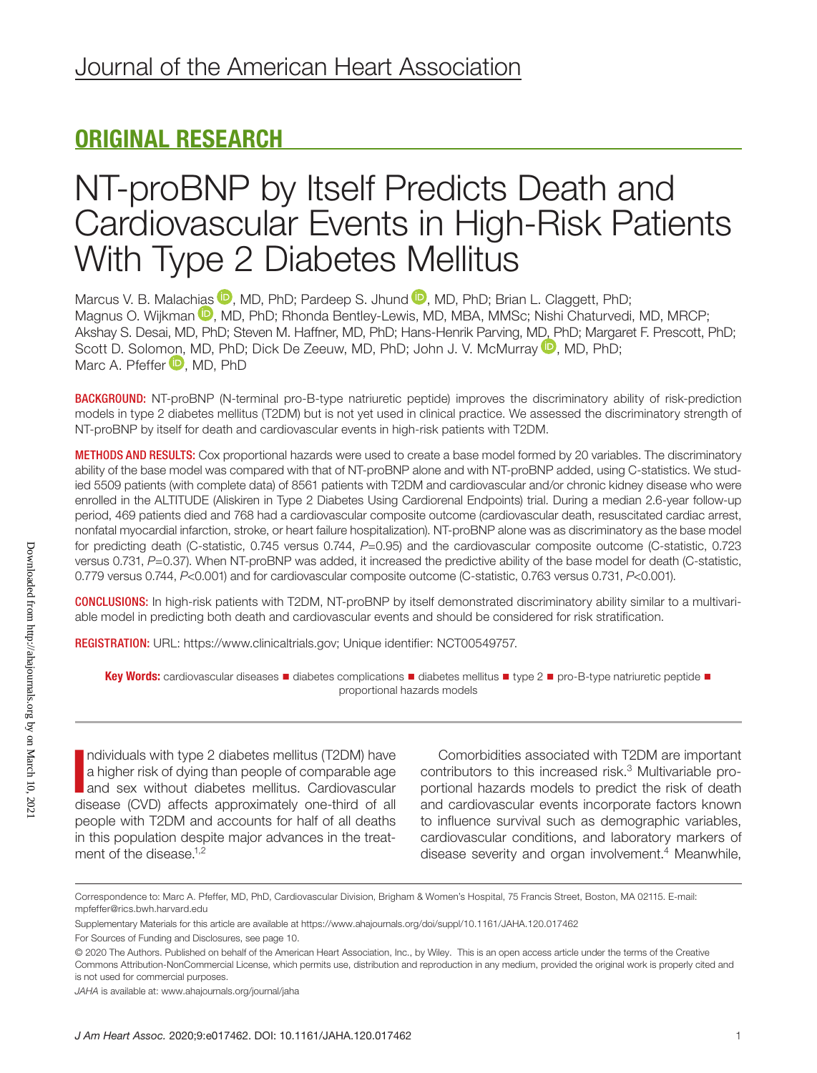# ORIGINAL RESEARCH

# NT-proBNP by Itself Predicts Death and Cardiovascular Events in High-Risk Patients With Type 2 Diabetes Mellitus

Marcus V. B. Malac[hias](https://orcid.org/0000-0002-4757-9051)  $\mathbb D$ [,](https://orcid.org/0000-0003-4306-5317) MD, PhD; Pardeep S. Jhund  $\mathbb D$ , MD, PhD; Brian L. Claggett, PhD; Magnus O. Wijkman <sup>(D</sup>, MD, PhD; Rhonda Bentley-Lewis, MD, MBA, MMSc; Nishi Chaturvedi, MD, MRCP; Akshay S. Desai, MD, PhD; Steven M. Haffner, MD, PhD; Hans-Henrik Parving, [MD, P](https://orcid.org/0000-0002-6317-3975)hD; Margaret F. Prescott, PhD; Scott D. Solo[mon,](https://orcid.org/0000-0003-3876-7568) MD, PhD; Dick De Zeeuw, MD, PhD; John J. V. McMurray  $\mathbf{D}$ , MD, PhD; Marc A. Pfeffer **D**. MD. PhD

BACKGROUND: NT-proBNP (N-terminal pro-B-type natriuretic peptide) improves the discriminatory ability of risk-prediction models in type 2 diabetes mellitus (T2DM) but is not yet used in clinical practice. We assessed the discriminatory strength of NT-proBNP by itself for death and cardiovascular events in high-risk patients with T2DM.

METHODS AND RESULTS: Cox proportional hazards were used to create a base model formed by 20 variables. The discriminatory ability of the base model was compared with that of NT-proBNP alone and with NT-proBNP added, using C-statistics. We studied 5509 patients (with complete data) of 8561 patients with T2DM and cardiovascular and/or chronic kidney disease who were enrolled in the ALTITUDE (Aliskiren in Type 2 Diabetes Using Cardiorenal Endpoints) trial. During a median 2.6-year follow-up period, 469 patients died and 768 had a cardiovascular composite outcome (cardiovascular death, resuscitated cardiac arrest, nonfatal myocardial infarction, stroke, or heart failure hospitalization). NT-proBNP alone was as discriminatory as the base model for predicting death (C-statistic, 0.745 versus 0.744, *P*=0.95) and the cardiovascular composite outcome (C-statistic, 0.723 versus 0.731, *P*=0.37). When NT-proBNP was added, it increased the predictive ability of the base model for death (C-statistic, 0.779 versus 0.744, *P*<0.001) and for cardiovascular composite outcome (C-statistic, 0.763 versus 0.731, *P*<0.001).

CONCLUSIONS: In high-risk patients with T2DM, NT-proBNP by itself demonstrated discriminatory ability similar to a multivariable model in predicting both death and cardiovascular events and should be considered for risk stratification.

REGISTRATION: URL: <https://www.clinicaltrials.gov>; Unique identifier: NCT00549757.

Key Words: cardiovascular diseases ■ diabetes complications ■ diabetes mellitus ■ type 2 ■ pro-B-type natriuretic peptide ■ proportional hazards models

Individuals with type 2 diabetes mellitus (T2DM) have<br>a higher risk of dying than people of comparable age<br>and sex without diabetes mellitus. Cardiovascular<br>diagonal (CVD) offerts approximately one third of all ndividuals with type 2 diabetes mellitus (T2DM) have a higher risk of dying than people of comparable age disease (CVD) affects approximately one-third of all people with T2DM and accounts for half of all deaths in this population despite major advances in the treatment of the disease.<sup>1,2</sup>

Comorbidities associated with T2DM are important contributors to this increased risk.3 Multivariable proportional hazards models to predict the risk of death and cardiovascular events incorporate factors known to influence survival such as demographic variables, cardiovascular conditions, and laboratory markers of disease severity and organ involvement.<sup>4</sup> Meanwhile,

Correspondence to: Marc A. Pfeffer, MD, PhD, Cardiovascular Division, Brigham & Women's Hospital, 75 Francis Street, Boston, MA 02115. E-mail: [mpfeffer@rics.bwh.harvard.edu](mailto:mpfeffer@rics.bwh.harvard.edu)

Supplementary Materials for this article are available at <https://www.ahajournals.org/doi/suppl/10.1161/JAHA.120.017462>

For Sources of Funding and Disclosures, see page 10.

<sup>© 2020</sup> The Authors. Published on behalf of the American Heart Association, Inc., by Wiley. This is an open access article under the terms of the [Creative](http://creativecommons.org/licenses/by-nc/4.0/)  [Commons Attribution-NonCommercial](http://creativecommons.org/licenses/by-nc/4.0/) License, which permits use, distribution and reproduction in any medium, provided the original work is properly cited and is not used for commercial purposes.

*JAHA* is available at: [www.ahajournals.org/journal/jaha](https://www.ahajournals.org/journal/jaha)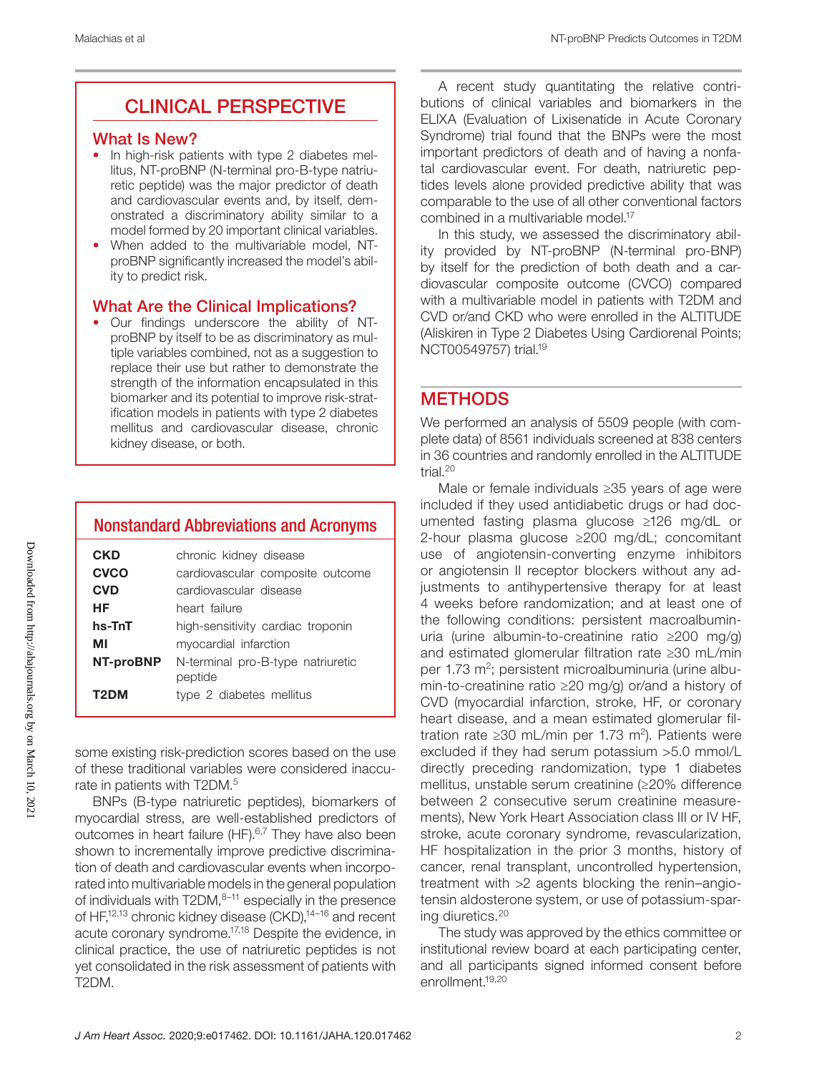## CLINICAL PERSPECTIVE

## What Is New?

- In high-risk patients with type 2 diabetes mellitus, NT-proBNP (N-terminal pro-B-type natriuretic peptide) was the major predictor of death and cardiovascular events and, by itself, demonstrated a discriminatory ability similar to a model formed by 20 important clinical variables.
- When added to the multivariable model, NTproBNP significantly increased the model's ability to predict risk.

## What Are the Clinical Implications?

• Our findings underscore the ability of NTproBNP by itself to be as discriminatory as multiple variables combined, not as a suggestion to replace their use but rather to demonstrate the strength of the information encapsulated in this biomarker and its potential to improve risk-stratification models in patients with type 2 diabetes mellitus and cardiovascular disease, chronic kidney disease, or both.

## Nonstandard Abbreviations and Acronyms

| CKD        | chronic kidney disease            |
|------------|-----------------------------------|
| CVCO       | cardiovascular composite outcome  |
| <b>CVD</b> | cardiovascular disease            |
| НF         | heart failure                     |
| hs-TnT     | high-sensitivity cardiac troponin |
| МΙ         | myocardial infarction             |
| NT-proBNP  | N-terminal pro-B-type natriuretic |
|            | peptide                           |
| T2DM       | type 2 diabetes mellitus          |

some existing risk-prediction scores based on the use of these traditional variables were considered inaccurate in patients with T2DM.<sup>5</sup>

BNPs (B-type natriuretic peptides), biomarkers of myocardial stress, are well-established predictors of outcomes in heart failure (HF).<sup>6,7</sup> They have also been shown to incrementally improve predictive discrimination of death and cardiovascular events when incorporated into multivariable models in the general population of individuals with  $T2DM$ , $8-11$  especially in the presence of HF,<sup>12,13</sup> chronic kidney disease (CKD),<sup>14-16</sup> and recent acute coronary syndrome.<sup>17,18</sup> Despite the evidence, in clinical practice, the use of natriuretic peptides is not yet consolidated in the risk assessment of patients with T2DM.

A recent study quantitating the relative contributions of clinical variables and biomarkers in the ELIXA (Evaluation of Lixisenatide in Acute Coronary Syndrome) trial found that the BNPs were the most important predictors of death and of having a nonfatal cardiovascular event. For death, natriuretic peptides levels alone provided predictive ability that was comparable to the use of all other conventional factors combined in a multivariable model.17

In this study, we assessed the discriminatory ability provided by NT-proBNP (N-terminal pro-BNP) by itself for the prediction of both death and a cardiovascular composite outcome (CVCO) compared with a multivariable model in patients with T2DM and CVD or/and CKD who were enrolled in the ALTITUDE (Aliskiren in Type 2 Diabetes Using Cardiorenal Points; NCT00549757) trial.19

## **METHODS**

We performed an analysis of 5509 people (with complete data) of 8561 individuals screened at 838 centers in 36 countries and randomly enrolled in the ALTITUDE trial.20

Male or female individuals ≥35 years of age were included if they used antidiabetic drugs or had documented fasting plasma glucose ≥126 mg/dL or 2-hour plasma glucose ≥200 mg/dL; concomitant use of angiotensin-converting enzyme inhibitors or angiotensin II receptor blockers without any adjustments to antihypertensive therapy for at least 4 weeks before randomization; and at least one of the following conditions: persistent macroalbuminuria (urine albumin-to-creatinine ratio ≥200 mg/g) and estimated glomerular filtration rate ≥30 mL/min per 1.73 m<sup>2</sup>; persistent microalbuminuria (urine albumin-to-creatinine ratio ≥20 mg/g) or/and a history of CVD (myocardial infarction, stroke, HF, or coronary heart disease, and a mean estimated glomerular filtration rate ≥30 mL/min per 1.73 m<sup>2</sup>). Patients were excluded if they had serum potassium >5.0 mmol/L directly preceding randomization, type 1 diabetes mellitus, unstable serum creatinine (≥20% difference between 2 consecutive serum creatinine measurements), New York Heart Association class III or IV HF, stroke, acute coronary syndrome, revascularization, HF hospitalization in the prior 3 months, history of cancer, renal transplant, uncontrolled hypertension, treatment with >2 agents blocking the renin–angiotensin aldosterone system, or use of potassium-sparing diuretics.20

The study was approved by the ethics committee or institutional review board at each participating center, and all participants signed informed consent before enrollment.19,20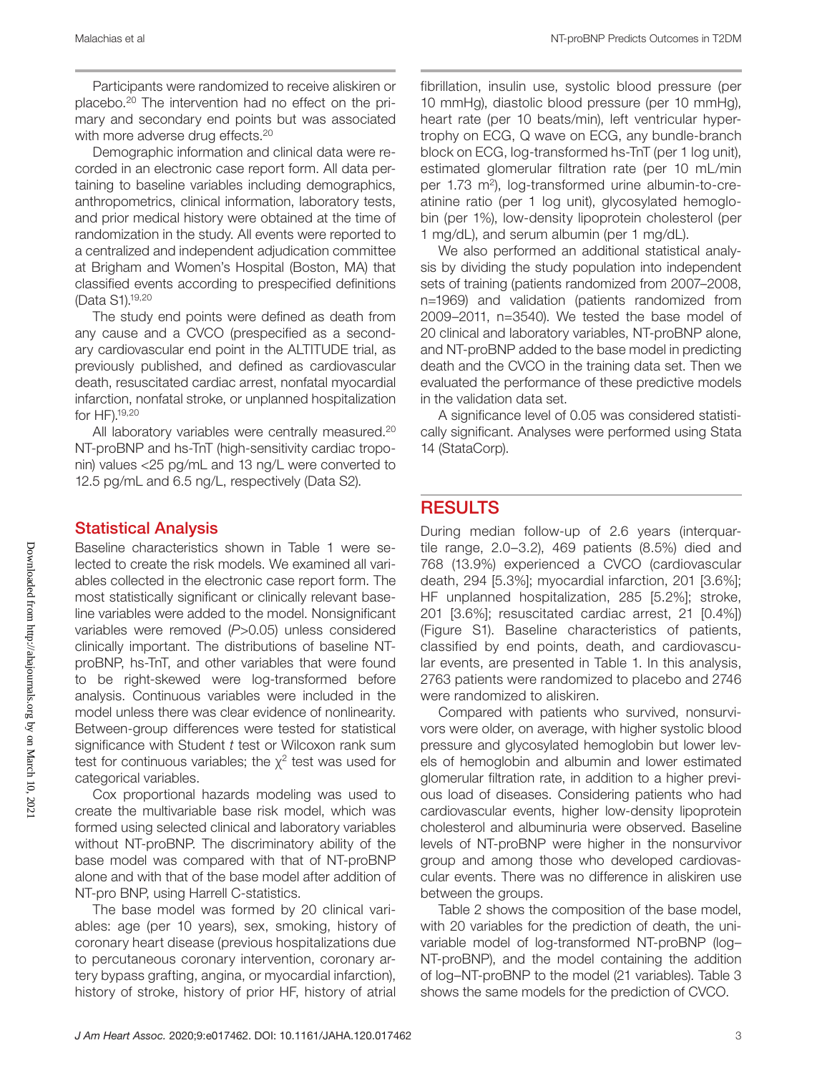Participants were randomized to receive aliskiren or placebo.20 The intervention had no effect on the primary and secondary end points but was associated with more adverse drug effects.<sup>20</sup>

Demographic information and clinical data were recorded in an electronic case report form. All data pertaining to baseline variables including demographics, anthropometrics, clinical information, laboratory tests, and prior medical history were obtained at the time of randomization in the study. All events were reported to a centralized and independent adjudication committee at Brigham and Women's Hospital (Boston, MA) that classified events according to prespecified definitions (Data S1).19,20

The study end points were defined as death from any cause and a CVCO (prespecified as a secondary cardiovascular end point in the ALTITUDE trial, as previously published, and defined as cardiovascular death, resuscitated cardiac arrest, nonfatal myocardial infarction, nonfatal stroke, or unplanned hospitalization for HF).19,20

All laboratory variables were centrally measured.<sup>20</sup> NT-proBNP and hs-TnT (high-sensitivity cardiac troponin) values <25 pg/mL and 13 ng/L were converted to 12.5 pg/mL and 6.5 ng/L, respectively (Data S2).

## Statistical Analysis

Baseline characteristics shown in Table 1 were selected to create the risk models. We examined all variables collected in the electronic case report form. The most statistically significant or clinically relevant baseline variables were added to the model. Nonsignificant variables were removed (*P*>0.05) unless considered clinically important. The distributions of baseline NTproBNP, hs-TnT, and other variables that were found to be right-skewed were log-transformed before analysis. Continuous variables were included in the model unless there was clear evidence of nonlinearity. Between-group differences were tested for statistical significance with Student *t* test or Wilcoxon rank sum test for continuous variables; the  $\chi^2$  test was used for categorical variables.

Cox proportional hazards modeling was used to create the multivariable base risk model, which was formed using selected clinical and laboratory variables without NT-proBNP. The discriminatory ability of the base model was compared with that of NT-proBNP alone and with that of the base model after addition of NT-pro BNP, using Harrell C-statistics.

The base model was formed by 20 clinical variables: age (per 10 years), sex, smoking, history of coronary heart disease (previous hospitalizations due to percutaneous coronary intervention, coronary artery bypass grafting, angina, or myocardial infarction), history of stroke, history of prior HF, history of atrial fibrillation, insulin use, systolic blood pressure (per 10 mmHg), diastolic blood pressure (per 10 mmHg), heart rate (per 10 beats/min), left ventricular hypertrophy on ECG, Q wave on ECG, any bundle-branch block on ECG, log-transformed hs-TnT (per 1 log unit), estimated glomerular filtration rate (per 10 mL/min per 1.73 m2), log-transformed urine albumin-to-creatinine ratio (per 1 log unit), glycosylated hemoglobin (per 1%), low-density lipoprotein cholesterol (per 1 mg/dL), and serum albumin (per 1 mg/dL).

We also performed an additional statistical analysis by dividing the study population into independent sets of training (patients randomized from 2007–2008, n=1969) and validation (patients randomized from 2009–2011, n=3540). We tested the base model of 20 clinical and laboratory variables, NT-proBNP alone, and NT-proBNP added to the base model in predicting death and the CVCO in the training data set. Then we evaluated the performance of these predictive models in the validation data set.

A significance level of 0.05 was considered statistically significant. Analyses were performed using Stata 14 (StataCorp).

## **RESULTS**

During median follow-up of 2.6 years (interquartile range, 2.0–3.2), 469 patients (8.5%) died and 768 (13.9%) experienced a CVCO (cardiovascular death, 294 [5.3%]; myocardial infarction, 201 [3.6%]; HF unplanned hospitalization, 285 [5.2%]; stroke, 201 [3.6%]; resuscitated cardiac arrest, 21 [0.4%]) (Figure S1). Baseline characteristics of patients, classified by end points, death, and cardiovascular events, are presented in Table 1. In this analysis, 2763 patients were randomized to placebo and 2746 were randomized to aliskiren.

Compared with patients who survived, nonsurvivors were older, on average, with higher systolic blood pressure and glycosylated hemoglobin but lower levels of hemoglobin and albumin and lower estimated glomerular filtration rate, in addition to a higher previous load of diseases. Considering patients who had cardiovascular events, higher low-density lipoprotein cholesterol and albuminuria were observed. Baseline levels of NT-proBNP were higher in the nonsurvivor group and among those who developed cardiovascular events. There was no difference in aliskiren use between the groups.

Table 2 shows the composition of the base model, with 20 variables for the prediction of death, the univariable model of log-transformed NT-proBNP (log– NT-proBNP), and the model containing the addition of log–NT-proBNP to the model (21 variables). Table 3 shows the same models for the prediction of CVCO.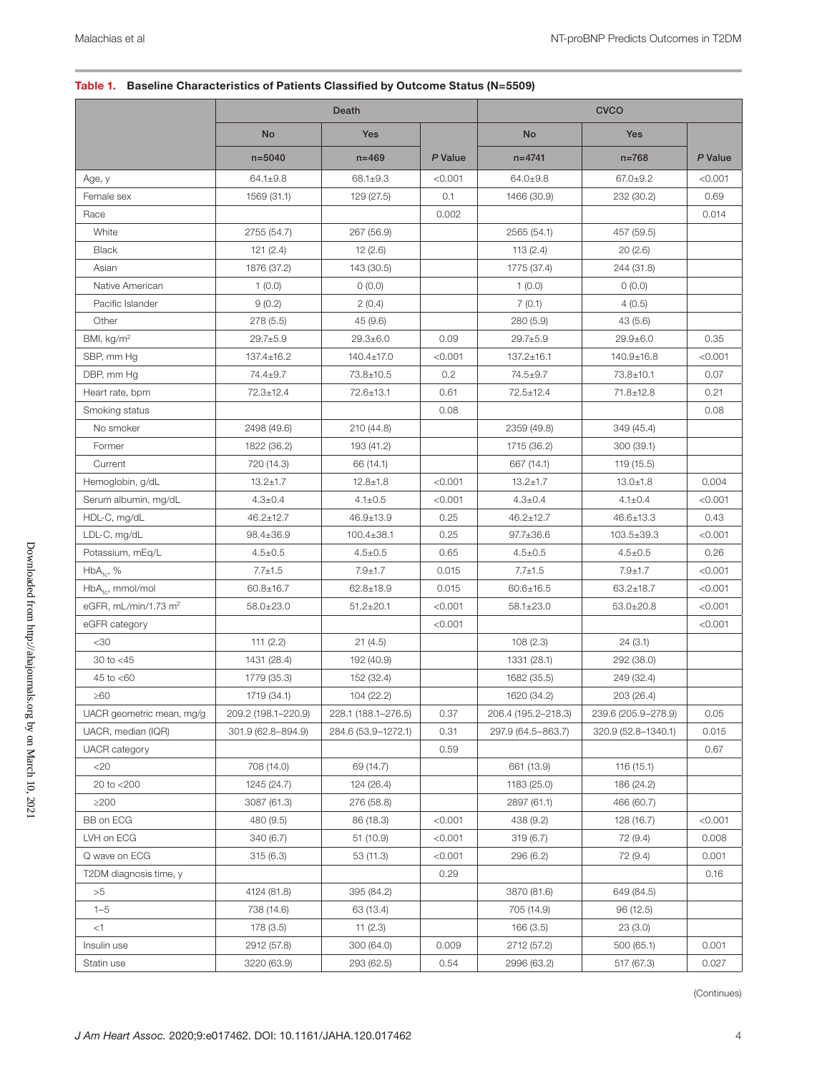#### Table 1. Baseline Characteristics of Patients Classified by Outcome Status (N=5509)

|                                  |                     | Death               |         |                     | <b>CVCO</b>         |         |
|----------------------------------|---------------------|---------------------|---------|---------------------|---------------------|---------|
|                                  | <b>No</b>           | Yes                 |         | No                  | Yes                 |         |
|                                  | $n = 5040$          | $n = 469$           | P Value | $n = 4741$          | $n = 768$           | P Value |
| Age, y                           | $64.1 \pm 9.8$      | $68.1 \pm 9.3$      | < 0.001 | $64.0 \pm 9.8$      | $67.0 \pm 9.2$      | < 0.001 |
| Female sex                       | 1569 (31.1)         | 129 (27.5)          | 0.1     | 1466 (30.9)         | 232 (30.2)          | 0.69    |
| Race                             |                     |                     | 0.002   |                     |                     | 0.014   |
| White                            | 2755 (54.7)         | 267 (56.9)          |         | 2565 (54.1)         | 457 (59.5)          |         |
| <b>Black</b>                     | 121(2.4)            | 12(2.6)             |         | 113(2.4)            | 20(2.6)             |         |
| Asian                            | 1876 (37.2)         | 143 (30.5)          |         | 1775 (37.4)         | 244 (31.8)          |         |
| Native American                  | 1(0.0)              | 0(0.0)              |         | 1(0.0)              | 0(0.0)              |         |
| Pacific Islander                 | 9(0.2)              | 2(0.4)              |         | 7(0.1)              | 4(0.5)              |         |
| Other                            | 278(5.5)            | 45 (9.6)            |         | 280 (5.9)           | 43(5.6)             |         |
| BMI, kg/m <sup>2</sup>           | $29.7 \pm 5.9$      | $29.3 \pm 6.0$      | 0.09    | $29.7 \pm 5.9$      | $29.9 \pm 6.0$      | 0.35    |
| SBP, mm Hg                       | $137.4 \pm 16.2$    | 140.4±17.0          | < 0.001 | 137.2±16.1          | 140.9±16.8          | < 0.001 |
| DBP, mm Hg                       | 74.4±9.7            | 73.8±10.5           | 0.2     | 74.5±9.7            | 73.8±10.1           | 0.07    |
| Heart rate, bpm                  | 72.3±12.4           | 72.6±13.1           | 0.61    | 72.5±12.4           | 71.8±12.8           | 0.21    |
| Smoking status                   |                     |                     | 0.08    |                     |                     | 0.08    |
| No smoker                        | 2498 (49.6)         | 210 (44.8)          |         | 2359 (49.8)         | 349 (45.4)          |         |
| Former                           | 1822 (36.2)         | 193 (41.2)          |         | 1715 (36.2)         | 300 (39.1)          |         |
| Current                          | 720 (14.3)          | 66 (14.1)           |         | 667 (14.1)          | 119 (15.5)          |         |
| Hemoglobin, g/dL                 | $13.2 \pm 1.7$      | $12.8 \pm 1.8$      | < 0.001 | $13.2 \pm 1.7$      | $13.0 \pm 1.8$      | 0.004   |
| Serum albumin, mg/dL             | $4.3 \pm 0.4$       | $4.1 \pm 0.5$       | < 0.001 | $4.3 \pm 0.4$       | $4.1 \pm 0.4$       | < 0.001 |
| HDL-C, mg/dL                     | $46.2 \pm 12.7$     | 46.9±13.9           | 0.25    | $46.2 \pm 12.7$     | 46.6±13.3           | 0.43    |
| LDL-C, mg/dL                     | 98.4±36.9           | $100.4 \pm 38.1$    | 0.25    | $97.7 \pm 36.6$     | 103.5±39.3          | < 0.001 |
| Potassium, mEq/L                 | $4.5 \pm 0.5$       | $4.5 \pm 0.5$       | 0.65    | $4.5 \pm 0.5$       | $4.5 \pm 0.5$       | 0.26    |
| $HbA_{1c}$ , %                   | $7.7 \pm 1.5$       | $7.9 + 1.7$         | 0.015   | $7.7 \pm 1.5$       | $7.9 + 1.7$         | < 0.001 |
| HbA <sub>1c</sub> , mmol/mol     | $60.8 \pm 16.7$     | $62.8 \pm 18.9$     | 0.015   | $60.6 \pm 16.5$     | $63.2 \pm 18.7$     | < 0.001 |
| eGFR, mL/min/1.73 m <sup>2</sup> | $58.0 \pm 23.0$     | $51.2 \pm 20.1$     | < 0.001 | $58.1 \pm 23.0$     | $53.0 \pm 20.8$     | < 0.001 |
| eGFR category                    |                     |                     | < 0.001 |                     |                     | < 0.001 |
| $30$                             | 111 $(2.2)$         | 21(4.5)             |         | 108(2.3)            | 24(3.1)             |         |
| 30 to $<$ 45                     | 1431 (28.4)         | 192 (40.9)          |         | 1331 (28.1)         | 292 (38.0)          |         |
| 45 to $< 60$                     | 1779 (35.3)         | 152 (32.4)          |         | 1682 (35.5)         | 249 (32.4)          |         |
| $\geq 60$                        | 1719 (34.1)         | 104 (22.2)          |         | 1620 (34.2)         | 203 (26.4)          |         |
| UACR geometric mean, mg/g        | 209.2 (198.1-220.9) | 228.1 (188.1-276.5) | 0.37    | 206.4 (195.2-218.3) | 239.6 (205.9-278.9) | 0.05    |
| UACR, median (IQR)               | 301.9 (62.8-894.9)  | 284.6 (53.9-1272.1) | 0.31    | 297.9 (64.5-863.7)  | 320.9 (52.8-1340.1) | 0.015   |
| <b>UACR</b> category             |                     |                     | 0.59    |                     |                     | 0.67    |
| $<$ 20                           | 708 (14.0)          | 69 (14.7)           |         | 661 (13.9)          | 116(15.1)           |         |
| 20 to <200                       | 1245 (24.7)         | 124 (26.4)          |         | 1183 (25.0)         | 186 (24.2)          |         |
| $\geq$ 200                       | 3087 (61.3)         | 276 (58.8)          |         | 2897 (61.1)         | 466 (60.7)          |         |
| BB on ECG                        | 480 (9.5)           | 86 (18.3)           | < 0.001 | 438 (9.2)           | 128 (16.7)          | < 0.001 |
| LVH on ECG                       | 340 (6.7)           | 51(10.9)            | < 0.001 | 319(6.7)            | 72 (9.4)            | 0.008   |
| Q wave on ECG                    | 315(6.3)            | 53 (11.3)           | < 0.001 | 296 (6.2)           | 72 (9.4)            | 0.001   |
| T2DM diagnosis time, y           |                     |                     | 0.29    |                     |                     | 0.16    |
| >5                               | 4124 (81.8)         | 395 (84.2)          |         | 3870 (81.6)         | 649 (84.5)          |         |
| $1 - 5$                          | 738 (14.6)          | 63 (13.4)           |         | 705 (14.9)          | 96 (12.5)           |         |
| <1                               | 178 (3.5)           | 11 $(2.3)$          |         | 166 (3.5)           | 23(3.0)             |         |
| Insulin use                      | 2912 (57.8)         | 300 (64.0)          | 0.009   | 2712 (57.2)         | 500 (65.1)          | 0.001   |
| Statin use                       | 3220 (63.9)         | 293 (62.5)          | 0.54    | 2996 (63.2)         | 517 (67.3)          | 0.027   |

(Continues)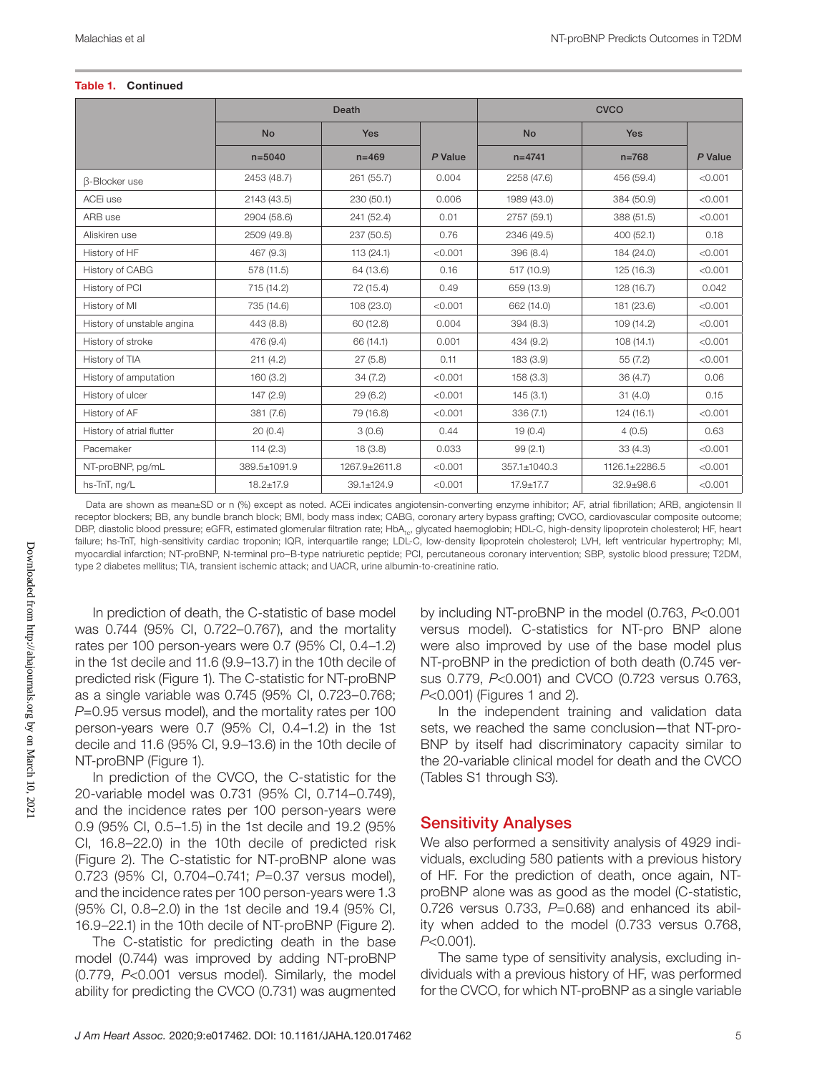#### Table 1. Continued

|                            |                 | Death         |         |                 | <b>CVCO</b>     |         |
|----------------------------|-----------------|---------------|---------|-----------------|-----------------|---------|
|                            | <b>No</b>       | Yes           |         | <b>No</b>       | <b>Yes</b>      |         |
|                            | $n = 5040$      | $n = 469$     | P Value | $n = 4741$      | $n = 768$       | P Value |
| <b>B-Blocker use</b>       | 2453 (48.7)     | 261 (55.7)    | 0.004   | 2258 (47.6)     | 456 (59.4)      | < 0.001 |
| ACEi use                   | 2143 (43.5)     | 230 (50.1)    | 0.006   | 1989 (43.0)     | 384 (50.9)      | < 0.001 |
| ARB use                    | 2904 (58.6)     | 241 (52.4)    | 0.01    | 2757 (59.1)     | 388 (51.5)      | < 0.001 |
| Aliskiren use              | 2509 (49.8)     | 237 (50.5)    | 0.76    | 2346 (49.5)     | 400(52.1)       | 0.18    |
| History of HF              | 467 (9.3)       | 113 (24.1)    | < 0.001 | 396 (8.4)       | 184 (24.0)      | < 0.001 |
| History of CABG            | 578 (11.5)      | 64 (13.6)     | 0.16    | 517 (10.9)      | 125(16.3)       | < 0.001 |
| History of PCI             | 715 (14.2)      | 72 (15.4)     | 0.49    | 659 (13.9)      | 128(16.7)       | 0.042   |
| History of MI              | 735 (14.6)      | 108 (23.0)    | < 0.001 | 662 (14.0)      | 181 (23.6)      | < 0.001 |
| History of unstable angina | 443 (8.8)       | 60 (12.8)     | 0.004   | 394 (8.3)       | 109(14.2)       | < 0.001 |
| History of stroke          | 476 (9.4)       | 66 (14.1)     | 0.001   | 434 (9.2)       | 108(14.1)       | < 0.001 |
| History of TIA             | 211(4.2)        | 27(5.8)       | 0.11    | 183 (3.9)       | 55 (7.2)        | < 0.001 |
| History of amputation      | 160(3.2)        | 34(7.2)       | < 0.001 | 158(3.3)        | 36(4.7)         | 0.06    |
| History of ulcer           | 147(2.9)        | 29 (6.2)      | < 0.001 | 145(3.1)        | 31(4.0)         | 0.15    |
| History of AF              | 381 (7.6)       | 79 (16.8)     | < 0.001 | 336(7.1)        | 124(16.1)       | < 0.001 |
| History of atrial flutter  | 20(0.4)         | 3(0.6)        | 0.44    | 19(0.4)         | 4(0.5)          | 0.63    |
| Pacemaker                  | 114(2.3)        | 18(3.8)       | 0.033   | 99(2.1)         | 33(4.3)         | < 0.001 |
| NT-proBNP, pg/mL           | 389.5±1091.9    | 1267.9±2611.8 | < 0.001 | 357.1±1040.3    | 1126.1±2286.5   | < 0.001 |
| hs-TnT, ng/L               | $18.2 \pm 17.9$ | 39.1±124.9    | < 0.001 | $17.9 \pm 17.7$ | $32.9 \pm 98.6$ | < 0.001 |

Data are shown as mean±SD or n (%) except as noted. ACEi indicates angiotensin-converting enzyme inhibitor; AF, atrial fibrillation; ARB, angiotensin II receptor blockers; BB, any bundle branch block; BMI, body mass index; CABG, coronary artery bypass grafting; CVCO, cardiovascular composite outcome; DBP, diastolic blood pressure; eGFR, estimated glomerular filtration rate; HbA<sub>1c</sub>, glycated haemoglobin; HDL-C, high-density lipoprotein cholesterol; HF, heart failure; hs-TnT, high-sensitivity cardiac troponin; IQR, interquartile range; LDL-C, low-density lipoprotein cholesterol; LVH, left ventricular hypertrophy; MI, myocardial infarction; NT-proBNP, N-terminal pro–B-type natriuretic peptide; PCI, percutaneous coronary intervention; SBP, systolic blood pressure; T2DM, type 2 diabetes mellitus; TIA, transient ischemic attack; and UACR, urine albumin-to-creatinine ratio.

In prediction of death, the C-statistic of base model was 0.744 (95% CI, 0.722–0.767), and the mortality rates per 100 person-years were 0.7 (95% CI, 0.4–1.2) in the 1st decile and 11.6 (9.9–13.7) in the 10th decile of predicted risk (Figure 1). The C-statistic for NT-proBNP as a single variable was 0.745 (95% CI, 0.723–0.768; *P*=0.95 versus model), and the mortality rates per 100 person-years were 0.7 (95% CI, 0.4–1.2) in the 1st decile and 11.6 (95% CI, 9.9–13.6) in the 10th decile of NT-proBNP (Figure 1).

In prediction of the CVCO, the C-statistic for the 20-variable model was 0.731 (95% CI, 0.714–0.749), and the incidence rates per 100 person-years were 0.9 (95% CI, 0.5–1.5) in the 1st decile and 19.2 (95% CI, 16.8–22.0) in the 10th decile of predicted risk (Figure 2). The C-statistic for NT-proBNP alone was 0.723 (95% CI, 0.704–0.741; *P*=0.37 versus model), and the incidence rates per 100 person-years were 1.3 (95% CI, 0.8–2.0) in the 1st decile and 19.4 (95% CI, 16.9–22.1) in the 10th decile of NT-proBNP (Figure 2).

The C-statistic for predicting death in the base model (0.744) was improved by adding NT-proBNP (0.779, *P*<0.001 versus model). Similarly, the model ability for predicting the CVCO (0.731) was augmented by including NT-proBNP in the model (0.763, *P*<0.001 versus model). C-statistics for NT-pro BNP alone were also improved by use of the base model plus NT-proBNP in the prediction of both death (0.745 versus 0.779, *P*<0.001) and CVCO (0.723 versus 0.763, *P*<0.001) (Figures 1 and 2).

In the independent training and validation data sets, we reached the same conclusion—that NT-pro-BNP by itself had discriminatory capacity similar to the 20-variable clinical model for death and the CVCO (Tables S1 through S3).

## Sensitivity Analyses

We also performed a sensitivity analysis of 4929 individuals, excluding 580 patients with a previous history of HF. For the prediction of death, once again, NTproBNP alone was as good as the model (C-statistic, 0.726 versus 0.733, *P*=0.68) and enhanced its ability when added to the model (0.733 versus 0.768, *P*<0.001).

The same type of sensitivity analysis, excluding individuals with a previous history of HF, was performed for the CVCO, for which NT-proBNP as a single variable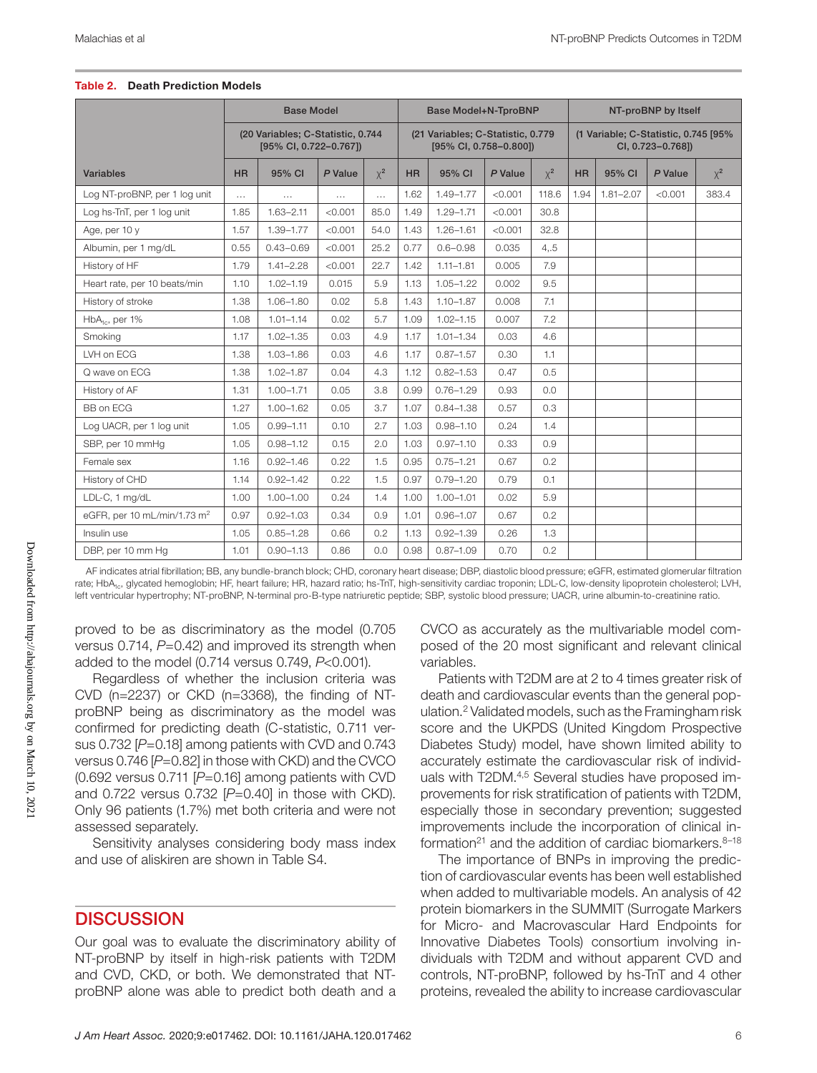|                                         |           | <b>Base Model</b>                                           |         |          |           | <b>Base Model+N-TproBNP</b>                                 |         |          |           |                                                           | NT-proBNP by Itself |          |  |  |
|-----------------------------------------|-----------|-------------------------------------------------------------|---------|----------|-----------|-------------------------------------------------------------|---------|----------|-----------|-----------------------------------------------------------|---------------------|----------|--|--|
|                                         |           | (20 Variables; C-Statistic, 0.744<br>[95% CI, 0.722-0.767]) |         |          |           | (21 Variables; C-Statistic, 0.779<br>[95% CI, 0.758-0.800]) |         |          |           | (1 Variable; C-Statistic, 0.745 [95%<br>CI, 0.723-0.768]) |                     |          |  |  |
| <b>Variables</b>                        | <b>HR</b> | 95% CI                                                      | P Value | $\chi^2$ | <b>HR</b> | 95% CI                                                      | P Value | $\chi^2$ | <b>HR</b> | 95% CI                                                    | P Value             | $\chi^2$ |  |  |
| Log NT-proBNP, per 1 log unit           | $\cdots$  | $\cdots$                                                    | .       | $\ldots$ | 1.62      | $1.49 - 1.77$                                               | < 0.001 | 118.6    | 1.94      | $1.81 - 2.07$                                             | < 0.001             | 383.4    |  |  |
| Log hs-TnT, per 1 log unit              | 1.85      | $1.63 - 2.11$                                               | < 0.001 | 85.0     | 1.49      | $1.29 - 1.71$                                               | < 0.001 | 30.8     |           |                                                           |                     |          |  |  |
| Age, per 10 y                           | 1.57      | $1.39 - 1.77$                                               | < 0.001 | 54.0     | 1.43      | $1.26 - 1.61$                                               | < 0.001 | 32.8     |           |                                                           |                     |          |  |  |
| Albumin, per 1 mg/dL                    | 0.55      | $0.43 - 0.69$                                               | < 0.001 | 25.2     | 0.77      | $0.6 - 0.98$                                                | 0.035   | 4, 5     |           |                                                           |                     |          |  |  |
| History of HF                           | 1.79      | $1.41 - 2.28$                                               | < 0.001 | 22.7     | 1.42      | $1.11 - 1.81$                                               | 0.005   | 7.9      |           |                                                           |                     |          |  |  |
| Heart rate, per 10 beats/min            | 1.10      | $1.02 - 1.19$                                               | 0.015   | 5.9      | 1.13      | $1.05 - 1.22$                                               | 0.002   | 9.5      |           |                                                           |                     |          |  |  |
| History of stroke                       | 1.38      | $1.06 - 1.80$                                               | 0.02    | 5.8      | 1.43      | $1.10 - 1.87$                                               | 0.008   | 7.1      |           |                                                           |                     |          |  |  |
| $HbA10$ , per 1%                        | 1.08      | $1.01 - 1.14$                                               | 0.02    | 5.7      | 1.09      | $1.02 - 1.15$                                               | 0.007   | 7.2      |           |                                                           |                     |          |  |  |
| Smoking                                 | 1.17      | $1.02 - 1.35$                                               | 0.03    | 4.9      | 1.17      | $1.01 - 1.34$                                               | 0.03    | 4.6      |           |                                                           |                     |          |  |  |
| LVH on ECG                              | 1.38      | $1.03 - 1.86$                                               | 0.03    | 4.6      | 1.17      | $0.87 - 1.57$                                               | 0.30    | 1.1      |           |                                                           |                     |          |  |  |
| Q wave on ECG                           | 1.38      | $1.02 - 1.87$                                               | 0.04    | 4.3      | 1.12      | $0.82 - 1.53$                                               | 0.47    | 0.5      |           |                                                           |                     |          |  |  |
| History of AF                           | 1.31      | $1.00 - 1.71$                                               | 0.05    | 3.8      | 0.99      | $0.76 - 1.29$                                               | 0.93    | 0.0      |           |                                                           |                     |          |  |  |
| <b>BB</b> on ECG                        | 1.27      | $1.00 - 1.62$                                               | 0.05    | 3.7      | 1.07      | $0.84 - 1.38$                                               | 0.57    | 0.3      |           |                                                           |                     |          |  |  |
| Log UACR, per 1 log unit                | 1.05      | $0.99 - 1.11$                                               | 0.10    | 2.7      | 1.03      | $0.98 - 1.10$                                               | 0.24    | 1.4      |           |                                                           |                     |          |  |  |
| SBP, per 10 mmHg                        | 1.05      | $0.98 - 1.12$                                               | 0.15    | 2.0      | 1.03      | $0.97 - 1.10$                                               | 0.33    | 0.9      |           |                                                           |                     |          |  |  |
| Female sex                              | 1.16      | $0.92 - 1.46$                                               | 0.22    | 1.5      | 0.95      | $0.75 - 1.21$                                               | 0.67    | 0.2      |           |                                                           |                     |          |  |  |
| History of CHD                          | 1.14      | $0.92 - 1.42$                                               | 0.22    | 1.5      | 0.97      | $0.79 - 1.20$                                               | 0.79    | 0.1      |           |                                                           |                     |          |  |  |
| LDL-C, 1 mg/dL                          | 1.00      | $1.00 - 1.00$                                               | 0.24    | 1.4      | 1.00      | $1.00 - 1.01$                                               | 0.02    | 5.9      |           |                                                           |                     |          |  |  |
| eGFR, per 10 mL/min/1.73 m <sup>2</sup> | 0.97      | $0.92 - 1.03$                                               | 0.34    | 0.9      | 1.01      | $0.96 - 1.07$                                               | 0.67    | 0.2      |           |                                                           |                     |          |  |  |
| Insulin use                             | 1.05      | $0.85 - 1.28$                                               | 0.66    | 0.2      | 1.13      | $0.92 - 1.39$                                               | 0.26    | 1.3      |           |                                                           |                     |          |  |  |
| DBP, per 10 mm Hg                       | 1.01      | $0.90 - 1.13$                                               | 0.86    | 0.0      | 0.98      | $0.87 - 1.09$                                               | 0.70    | 0.2      |           |                                                           |                     |          |  |  |

#### Table 2. Death Prediction Models

AF indicates atrial fibrillation; BB, any bundle-branch block; CHD, coronary heart disease; DBP, diastolic blood pressure; eGFR, estimated glomerular filtration rate; HbA<sub>1c</sub>, glycated hemoglobin; HF, heart failure; HR, hazard ratio; hs-TnT, high-sensitivity cardiac troponin; LDL-C, low-density lipoprotein cholesterol; LVH, left ventricular hypertrophy; NT-proBNP, N-terminal pro-B-type natriuretic peptide; SBP, systolic blood pressure; UACR, urine albumin-to-creatinine ratio.

proved to be as discriminatory as the model (0.705 versus 0.714,  $P=0.42$ ) and improved its strength when added to the model (0.714 versus 0.749, *P*<0.001).

Regardless of whether the inclusion criteria was CVD (n=2237) or CKD (n=3368), the finding of NTproBNP being as discriminatory as the model was confirmed for predicting death (C-statistic, 0.711 versus 0.732 [P=0.18] among patients with CVD and 0.743 versus 0.746 [*P*=0.82] in those with CKD) and the CVCO (0.692 versus 0.711 [*P*=0.16] among patients with CVD and 0.722 versus 0.732 [*P*=0.40] in those with CKD). Only 96 patients (1.7%) met both criteria and were not assessed separately.

Sensitivity analyses considering body mass index and use of aliskiren are shown in Table S4.

## **DISCUSSION**

Our goal was to evaluate the discriminatory ability of NT-proBNP by itself in high-risk patients with T2DM and CVD, CKD, or both. We demonstrated that NTproBNP alone was able to predict both death and a CVCO as accurately as the multivariable model composed of the 20 most significant and relevant clinical variables.

Patients with T2DM are at 2 to 4 times greater risk of death and cardiovascular events than the general population.2 Validated models, such as the Framingham risk score and the UKPDS (United Kingdom Prospective Diabetes Study) model, have shown limited ability to accurately estimate the cardiovascular risk of individuals with T2DM.4,5 Several studies have proposed improvements for risk stratification of patients with T2DM, especially those in secondary prevention; suggested improvements include the incorporation of clinical information<sup>21</sup> and the addition of cardiac biomarkers.  $8-18$ 

The importance of BNPs in improving the prediction of cardiovascular events has been well established when added to multivariable models. An analysis of 42 protein biomarkers in the SUMMIT (Surrogate Markers for Micro- and Macrovascular Hard Endpoints for Innovative Diabetes Tools) consortium involving individuals with T2DM and without apparent CVD and controls, NT-proBNP, followed by hs-TnT and 4 other proteins, revealed the ability to increase cardiovascular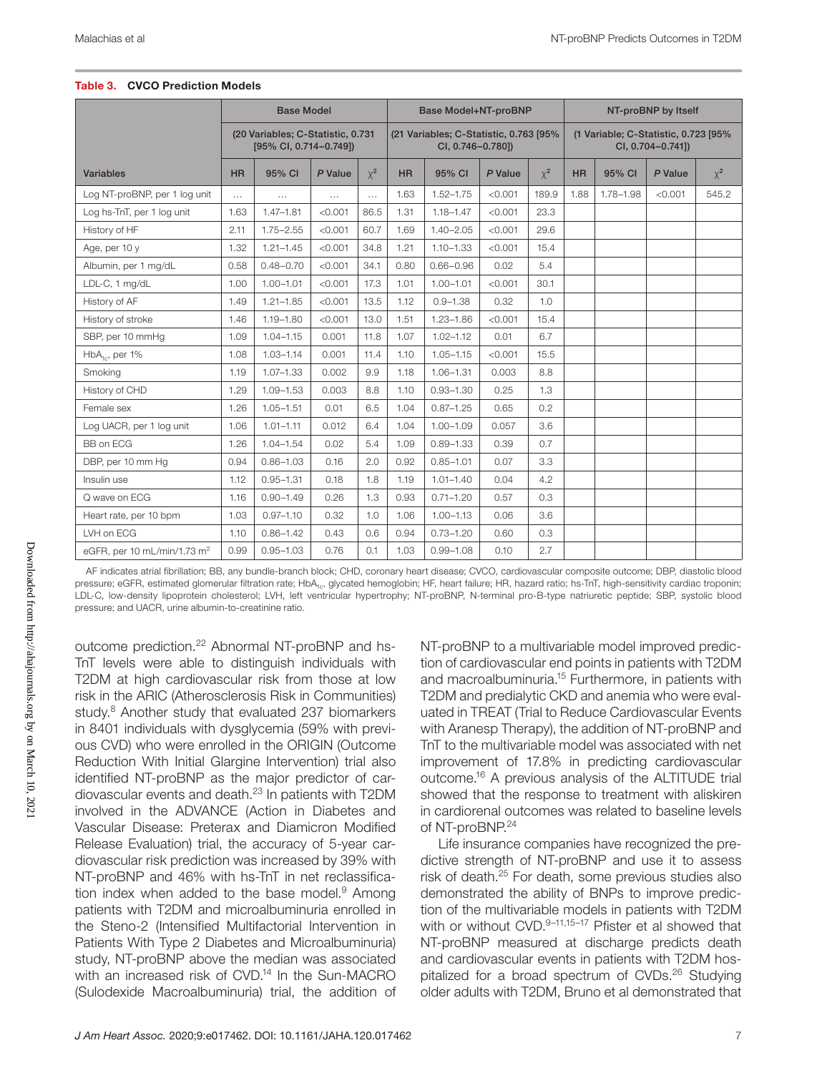|                                         |           | <b>Base Model</b>                                           |          |          |           | <b>Base Model+NT-proBNP</b>                                 |         |          |                                                           |           | NT-proBNP by Itself |          |  |
|-----------------------------------------|-----------|-------------------------------------------------------------|----------|----------|-----------|-------------------------------------------------------------|---------|----------|-----------------------------------------------------------|-----------|---------------------|----------|--|
|                                         |           | (20 Variables; C-Statistic, 0.731<br>[95% CI, 0.714-0.749]) |          |          |           | (21 Variables; C-Statistic, 0.763 [95%<br>CI, 0.746-0.780]) |         |          | (1 Variable; C-Statistic, 0.723 [95%<br>CI, 0.704-0.741]) |           |                     |          |  |
| Variables                               | <b>HR</b> | 95% CI                                                      | P Value  | $\chi^2$ | <b>HR</b> | 95% CI                                                      | P Value | $\chi^2$ | <b>HR</b>                                                 | 95% CI    | P Value             | $\chi^2$ |  |
| Log NT-proBNP, per 1 log unit           | $\cdots$  | $\ldots$                                                    | $\cdots$ | $\cdots$ | 1.63      | $1.52 - 1.75$                                               | < 0.001 | 189.9    | 1.88                                                      | 1.78-1.98 | < 0.001             | 545.2    |  |
| Log hs-TnT, per 1 log unit              | 1.63      | $1.47 - 1.81$                                               | < 0.001  | 86.5     | 1.31      | $1.18 - 1.47$                                               | < 0.001 | 23.3     |                                                           |           |                     |          |  |
| History of HF                           | 2.11      | $1.75 - 2.55$                                               | < 0.001  | 60.7     | 1.69      | $1.40 - 2.05$                                               | < 0.001 | 29.6     |                                                           |           |                     |          |  |
| Age, per 10 y                           | 1.32      | $1.21 - 1.45$                                               | < 0.001  | 34.8     | 1.21      | $1.10 - 1.33$                                               | < 0.001 | 15.4     |                                                           |           |                     |          |  |
| Albumin, per 1 mg/dL                    | 0.58      | $0.48 - 0.70$                                               | < 0.001  | 34.1     | 0.80      | $0.66 - 0.96$                                               | 0.02    | 5.4      |                                                           |           |                     |          |  |
| LDL-C, 1 mg/dL                          | 1.00      | $1.00 - 1.01$                                               | < 0.001  | 17.3     | 1.01      | $1.00 - 1.01$                                               | < 0.001 | 30.1     |                                                           |           |                     |          |  |
| History of AF                           | 1.49      | $1.21 - 1.85$                                               | < 0.001  | 13.5     | 1.12      | $0.9 - 1.38$                                                | 0.32    | 1.0      |                                                           |           |                     |          |  |
| History of stroke                       | 1.46      | $1.19 - 1.80$                                               | < 0.001  | 13.0     | 1.51      | $1.23 - 1.86$                                               | < 0.001 | 15.4     |                                                           |           |                     |          |  |
| SBP, per 10 mmHq                        | 1.09      | $1.04 - 1.15$                                               | 0.001    | 11.8     | 1.07      | $1.02 - 1.12$                                               | 0.01    | 6.7      |                                                           |           |                     |          |  |
| $HbA_{1c}$ , per 1%                     | 1.08      | $1.03 - 1.14$                                               | 0.001    | 11.4     | 1.10      | $1.05 - 1.15$                                               | < 0.001 | 15.5     |                                                           |           |                     |          |  |
| Smoking                                 | 1.19      | $1.07 - 1.33$                                               | 0.002    | 9.9      | 1.18      | $1.06 - 1.31$                                               | 0.003   | 8.8      |                                                           |           |                     |          |  |
| History of CHD                          | 1.29      | $1.09 - 1.53$                                               | 0.003    | 8.8      | 1.10      | $0.93 - 1.30$                                               | 0.25    | 1.3      |                                                           |           |                     |          |  |
| Female sex                              | 1.26      | $1.05 - 1.51$                                               | 0.01     | 6.5      | 1.04      | $0.87 - 1.25$                                               | 0.65    | 0.2      |                                                           |           |                     |          |  |
| Log UACR, per 1 log unit                | 1.06      | $1.01 - 1.11$                                               | 0.012    | 6.4      | 1.04      | $1.00 - 1.09$                                               | 0.057   | 3.6      |                                                           |           |                     |          |  |
| BB on ECG                               | 1.26      | $1.04 - 1.54$                                               | 0.02     | 5.4      | 1.09      | $0.89 - 1.33$                                               | 0.39    | 0.7      |                                                           |           |                     |          |  |
| DBP, per 10 mm Hq                       | 0.94      | $0.86 - 1.03$                                               | 0.16     | 2.0      | 0.92      | $0.85 - 1.01$                                               | 0.07    | 3.3      |                                                           |           |                     |          |  |
| Insulin use                             | 1.12      | $0.95 - 1.31$                                               | 0.18     | 1.8      | 1.19      | $1.01 - 1.40$                                               | 0.04    | 4.2      |                                                           |           |                     |          |  |
| Q wave on ECG                           | 1.16      | $0.90 - 1.49$                                               | 0.26     | 1.3      | 0.93      | $0.71 - 1.20$                                               | 0.57    | 0.3      |                                                           |           |                     |          |  |
| Heart rate, per 10 bpm                  | 1.03      | $0.97 - 1.10$                                               | 0.32     | 1.0      | 1.06      | $1.00 - 1.13$                                               | 0.06    | 3.6      |                                                           |           |                     |          |  |
| LVH on ECG                              | 1.10      | $0.86 - 1.42$                                               | 0.43     | 0.6      | 0.94      | $0.73 - 1.20$                                               | 0.60    | 0.3      |                                                           |           |                     |          |  |
| eGFR, per 10 mL/min/1.73 m <sup>2</sup> | 0.99      | $0.95 - 1.03$                                               | 0.76     | 0.1      | 1.03      | $0.99 - 1.08$                                               | 0.10    | 2.7      |                                                           |           |                     |          |  |

#### Table 3. CVCO Prediction Models

AF indicates atrial fibrillation; BB, any bundle-branch block; CHD, coronary heart disease; CVCO, cardiovascular composite outcome; DBP, diastolic blood pressure; eGFR, estimated glomerular filtration rate; HbA<sub>1c</sub>, glycated hemoglobin; HF, heart failure; HR, hazard ratio; hs-TnT, high-sensitivity cardiac troponin; LDL-C, low-density lipoprotein cholesterol; LVH, left ventricular hypertrophy; NT-proBNP, N-terminal pro-B-type natriuretic peptide; SBP, systolic blood pressure; and UACR, urine albumin-to-creatinine ratio.

outcome prediction.22 Abnormal NT-proBNP and hs-TnT levels were able to distinguish individuals with T2DM at high cardiovascular risk from those at low risk in the ARIC (Atherosclerosis Risk in Communities) study.8 Another study that evaluated 237 biomarkers in 8401 individuals with dysglycemia (59% with previous CVD) who were enrolled in the ORIGIN (Outcome Reduction With Initial Glargine Intervention) trial also identified NT-proBNP as the major predictor of cardiovascular events and death.23 In patients with T2DM involved in the ADVANCE (Action in Diabetes and Vascular Disease: Preterax and Diamicron Modified Release Evaluation) trial, the accuracy of 5-year cardiovascular risk prediction was increased by 39% with NT-proBNP and 46% with hs-TnT in net reclassification index when added to the base model. $9$  Among patients with T2DM and microalbuminuria enrolled in the Steno-2 (Intensified Multifactorial Intervention in Patients With Type 2 Diabetes and Microalbuminuria) study, NT-proBNP above the median was associated with an increased risk of CVD.<sup>14</sup> In the Sun-MACRO (Sulodexide Macroalbuminuria) trial, the addition of

NT-proBNP to a multivariable model improved prediction of cardiovascular end points in patients with T2DM and macroalbuminuria.15 Furthermore, in patients with T2DM and predialytic CKD and anemia who were evaluated in TREAT (Trial to Reduce Cardiovascular Events with Aranesp Therapy), the addition of NT-proBNP and TnT to the multivariable model was associated with net improvement of 17.8% in predicting cardiovascular outcome.16 A previous analysis of the ALTITUDE trial showed that the response to treatment with aliskiren in cardiorenal outcomes was related to baseline levels of NT-proBNP.<sup>24</sup>

Life insurance companies have recognized the predictive strength of NT-proBNP and use it to assess risk of death.25 For death, some previous studies also demonstrated the ability of BNPs to improve prediction of the multivariable models in patients with T2DM with or without CVD.9-11,15-17 Pfister et al showed that NT-proBNP measured at discharge predicts death and cardiovascular events in patients with T2DM hospitalized for a broad spectrum of CVDs.<sup>26</sup> Studying older adults with T2DM, Bruno et al demonstrated that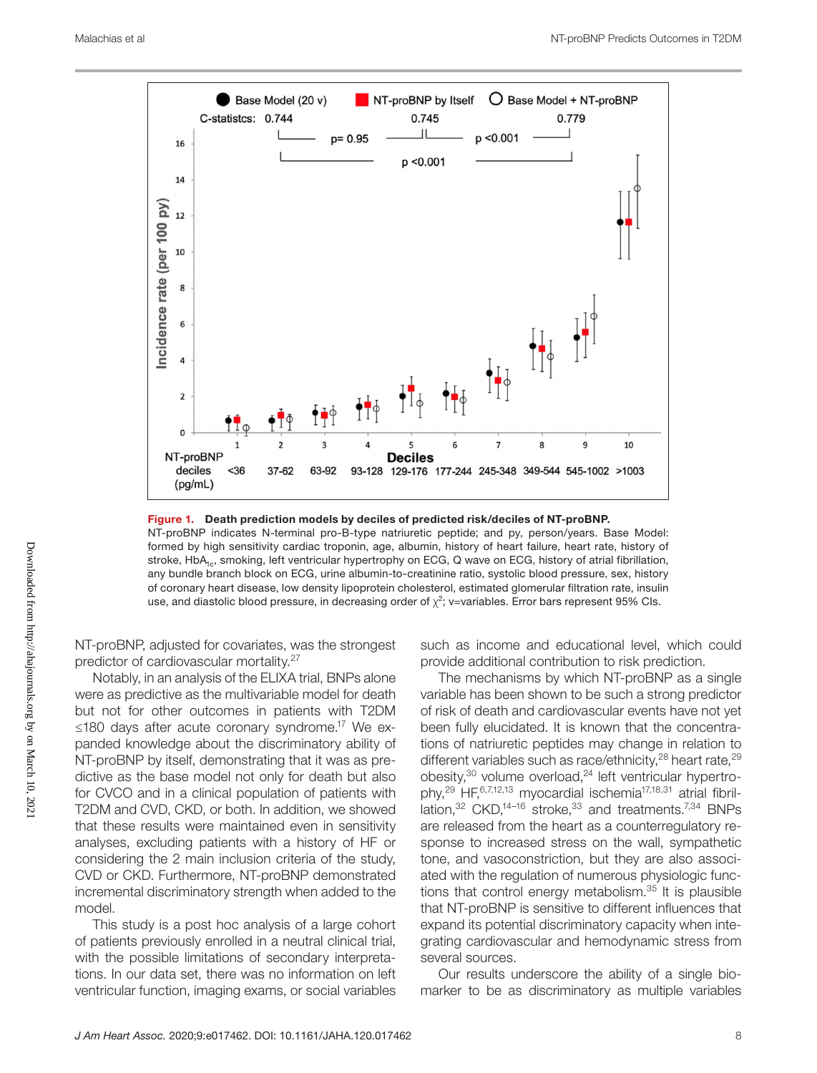

Figure 1. Death prediction models by deciles of predicted risk/deciles of NT-proBNP.

NT-proBNP indicates N-terminal pro-B-type natriuretic peptide; and py, person/years. Base Model: formed by high sensitivity cardiac troponin, age, albumin, history of heart failure, heart rate, history of stroke, HbA<sub>1c</sub>, smoking, left ventricular hypertrophy on ECG, Q wave on ECG, history of atrial fibrillation, any bundle branch block on ECG, urine albumin-to-creatinine ratio, systolic blood pressure, sex, history of coronary heart disease, low density lipoprotein cholesterol, estimated glomerular filtration rate, insulin use, and diastolic blood pressure, in decreasing order of  $\chi^2$ ; v=variables. Error bars represent 95% CIs.

NT-proBNP, adjusted for covariates, was the strongest predictor of cardiovascular mortality.27

Notably, in an analysis of the ELIXA trial, BNPs alone were as predictive as the multivariable model for death but not for other outcomes in patients with T2DM ≤180 days after acute coronary syndrome.17 We expanded knowledge about the discriminatory ability of NT-proBNP by itself, demonstrating that it was as predictive as the base model not only for death but also for CVCO and in a clinical population of patients with T2DM and CVD, CKD, or both. In addition, we showed that these results were maintained even in sensitivity analyses, excluding patients with a history of HF or considering the 2 main inclusion criteria of the study, CVD or CKD. Furthermore, NT-proBNP demonstrated incremental discriminatory strength when added to the model.

This study is a post hoc analysis of a large cohort of patients previously enrolled in a neutral clinical trial, with the possible limitations of secondary interpretations. In our data set, there was no information on left ventricular function, imaging exams, or social variables

such as income and educational level, which could provide additional contribution to risk prediction.

The mechanisms by which NT-proBNP as a single variable has been shown to be such a strong predictor of risk of death and cardiovascular events have not yet been fully elucidated. It is known that the concentrations of natriuretic peptides may change in relation to different variables such as race/ethnicity, $^{28}$  heart rate, $^{29}$ obesity, $30$  volume overload, $24$  left ventricular hypertrophy,29 HF,6,7,12,13 myocardial ischemia17,18,31 atrial fibrillation, $32$  CKD, $14-16$  stroke, $33$  and treatments.<sup>7,34</sup> BNPs are released from the heart as a counterregulatory response to increased stress on the wall, sympathetic tone, and vasoconstriction, but they are also associated with the regulation of numerous physiologic functions that control energy metabolism.<sup>35</sup> It is plausible that NT-proBNP is sensitive to different influences that expand its potential discriminatory capacity when integrating cardiovascular and hemodynamic stress from several sources.

Our results underscore the ability of a single biomarker to be as discriminatory as multiple variables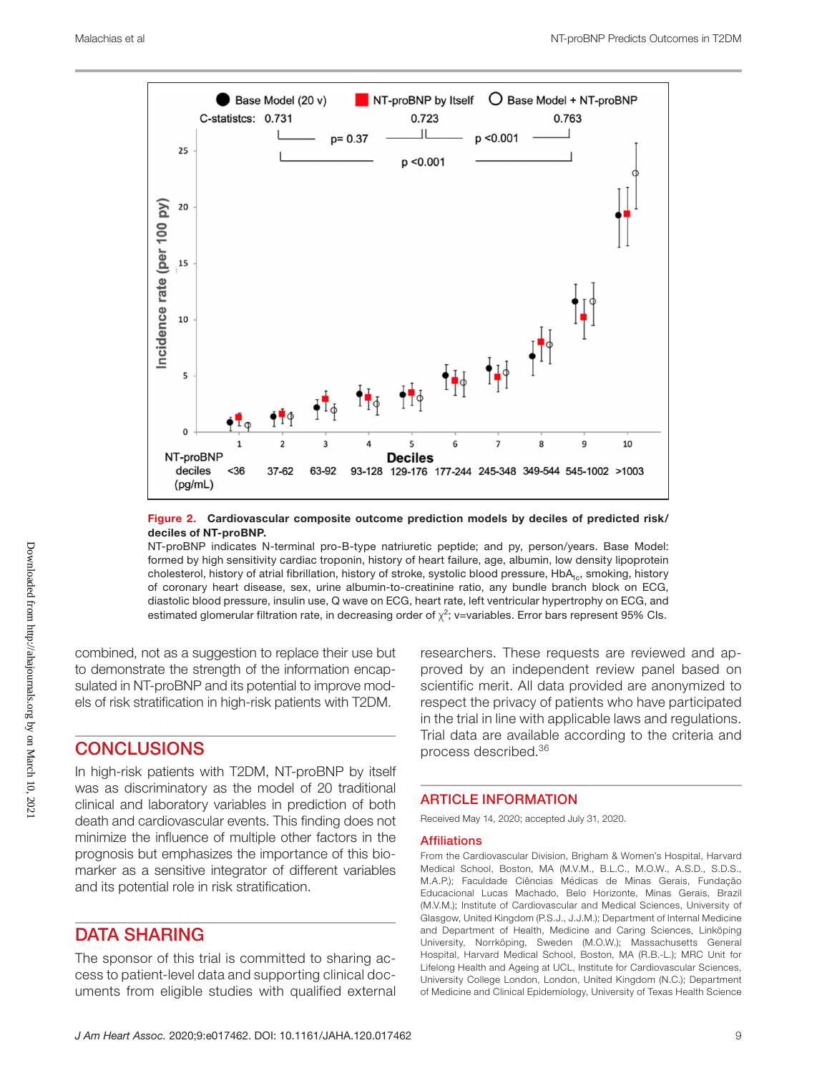

#### Figure 2. Cardiovascular composite outcome prediction models by deciles of predicted risk/ deciles of NT-proBNP.

NT-proBNP indicates N-terminal pro-B-type natriuretic peptide; and py, person/years. Base Model: formed by high sensitivity cardiac troponin, history of heart failure, age, albumin, low density lipoprotein cholesterol, history of atrial fibrillation, history of stroke, systolic blood pressure, HbA<sub>1c</sub>, smoking, history of coronary heart disease, sex, urine albumin-to-creatinine ratio, any bundle branch block on ECG, diastolic blood pressure, insulin use, Q wave on ECG, heart rate, left ventricular hypertrophy on ECG, and estimated glomerular filtration rate, in decreasing order of  $\chi^2$ ; v=variables. Error bars represent 95% CIs.

combined, not as a suggestion to replace their use but to demonstrate the strength of the information encapsulated in NT-proBNP and its potential to improve models of risk stratification in high-risk patients with T2DM.

## **CONCLUSIONS**

In high-risk patients with T2DM, NT-proBNP by itself was as discriminatory as the model of 20 traditional clinical and laboratory variables in prediction of both death and cardiovascular events. This finding does not minimize the influence of multiple other factors in the prognosis but emphasizes the importance of this biomarker as a sensitive integrator of different variables and its potential role in risk stratification.

## DATA SHARING

The sponsor of this trial is committed to sharing access to patient-level data and supporting clinical documents from eligible studies with qualified external researchers. These requests are reviewed and approved by an independent review panel based on scientific merit. All data provided are anonymized to respect the privacy of patients who have participated in the trial in line with applicable laws and regulations. Trial data are available according to the criteria and process described.36

#### ARTICLE INFORMATION

Received May 14, 2020; accepted July 31, 2020.

#### **Affiliations**

From the Cardiovascular Division, Brigham & Women's Hospital, Harvard Medical School, Boston, MA (M.V.M., B.L.C., M.O.W., A.S.D., S.D.S., M.A.P.); Faculdade Ciências Médicas de Minas Gerais, Fundação Educacional Lucas Machado, Belo Horizonte, Minas Gerais, Brazil (M.V.M.); Institute of Cardiovascular and Medical Sciences, University of Glasgow, United Kingdom (P.S.J., J.J.M.); Department of Internal Medicine and Department of Health, Medicine and Caring Sciences, Linköping University, Norrköping, Sweden (M.O.W.); Massachusetts General Hospital, Harvard Medical School, Boston, MA (R.B.-L.); MRC Unit for Lifelong Health and Ageing at UCL, Institute for Cardiovascular Sciences, University College London, London, United Kingdom (N.C.); Department of Medicine and Clinical Epidemiology, University of Texas Health Science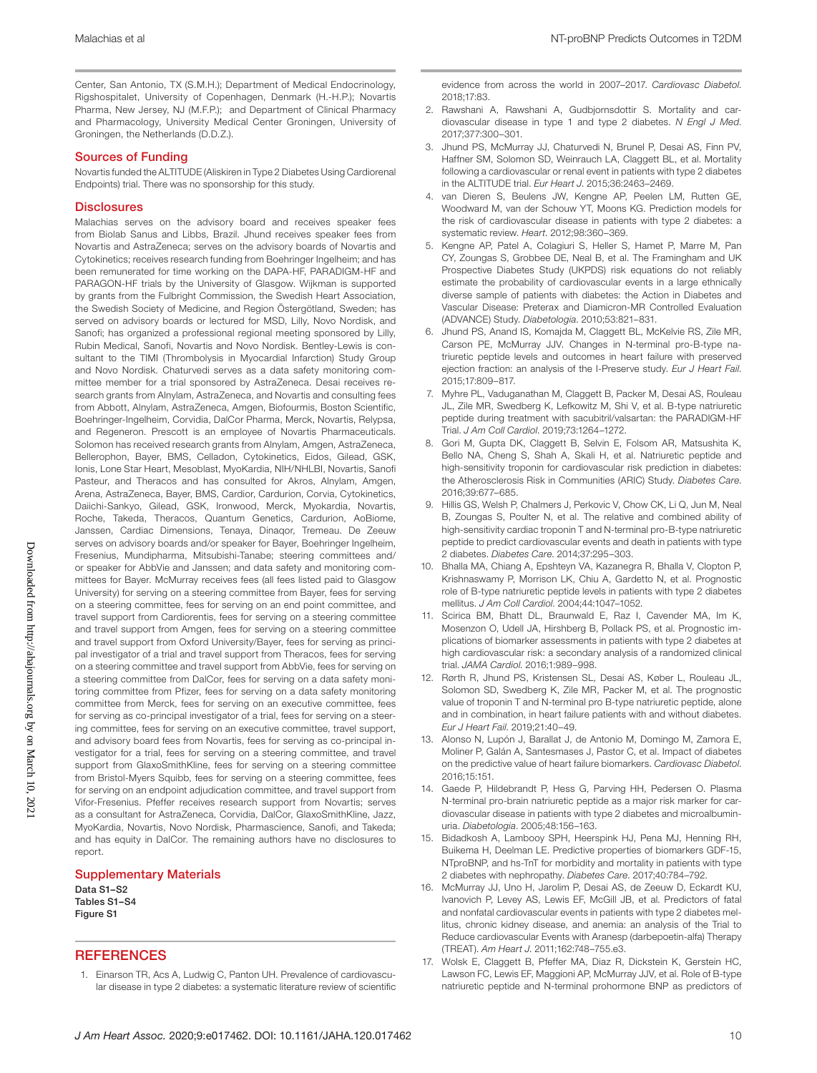Center, San Antonio, TX (S.M.H.); Department of Medical Endocrinology, Rigshospitalet, University of Copenhagen, Denmark (H.-H.P.); Novartis Pharma, New Jersey, NJ (M.F.P.); and Department of Clinical Pharmacy and Pharmacology, University Medical Center Groningen, University of Groningen, the Netherlands (D.D.Z.).

#### Sources of Funding

Novartis funded the ALTITUDE (Aliskiren in Type 2 Diabetes Using Cardiorenal Endpoints) trial. There was no sponsorship for this study.

#### **Disclosures**

Malachias serves on the advisory board and receives speaker fees from Biolab Sanus and Libbs, Brazil. Jhund receives speaker fees from Novartis and AstraZeneca; serves on the advisory boards of Novartis and Cytokinetics; receives research funding from Boehringer Ingelheim; and has been remunerated for time working on the DAPA-HF, PARADIGM-HF and PARAGON-HF trials by the University of Glasgow. Wijkman is supported by grants from the Fulbright Commission, the Swedish Heart Association, the Swedish Society of Medicine, and Region Östergötland, Sweden; has served on advisory boards or lectured for MSD, Lilly, Novo Nordisk, and Sanofi; has organized a professional regional meeting sponsored by Lilly, Rubin Medical, Sanofi, Novartis and Novo Nordisk. Bentley-Lewis is consultant to the TIMI (Thrombolysis in Myocardial Infarction) Study Group and Novo Nordisk. Chaturvedi serves as a data safety monitoring committee member for a trial sponsored by AstraZeneca. Desai receives research grants from Alnylam, AstraZeneca, and Novartis and consulting fees from Abbott, Alnylam, AstraZeneca, Amgen, Biofourmis, Boston Scientific, Boehringer-Ingelheim, Corvidia, DalCor Pharma, Merck, Novartis, Relypsa, and Regeneron. Prescott is an employee of Novartis Pharmaceuticals. Solomon has received research grants from Alnylam, Amgen, AstraZeneca, Bellerophon, Bayer, BMS, Celladon, Cytokinetics, Eidos, Gilead, GSK, Ionis, Lone Star Heart, Mesoblast, MyoKardia, NIH/NHLBI, Novartis, Sanofi Pasteur, and Theracos and has consulted for Akros, Alnylam, Amgen, Arena, AstraZeneca, Bayer, BMS, Cardior, Cardurion, Corvia, Cytokinetics, Daiichi-Sankyo, Gilead, GSK, Ironwood, Merck, Myokardia, Novartis, Roche, Takeda, Theracos, Quantum Genetics, Cardurion, AoBiome, Janssen, Cardiac Dimensions, Tenaya, Dinaqor, Tremeau. De Zeeuw serves on advisory boards and/or speaker for Bayer, Boehringer Ingelheim, Fresenius, Mundipharma, Mitsubishi-Tanabe; steering committees and/ or speaker for AbbVie and Janssen; and data safety and monitoring committees for Bayer. McMurray receives fees (all fees listed paid to Glasgow University) for serving on a steering committee from Bayer, fees for serving on a steering committee, fees for serving on an end point committee, and travel support from Cardiorentis, fees for serving on a steering committee and travel support from Amgen, fees for serving on a steering committee and travel support from Oxford University/Bayer, fees for serving as principal investigator of a trial and travel support from Theracos, fees for serving on a steering committee and travel support from AbbVie, fees for serving on a steering committee from DalCor, fees for serving on a data safety monitoring committee from Pfizer, fees for serving on a data safety monitoring committee from Merck, fees for serving on an executive committee, fees for serving as co-principal investigator of a trial, fees for serving on a steering committee, fees for serving on an executive committee, travel support, and advisory board fees from Novartis, fees for serving as co-principal investigator for a trial, fees for serving on a steering committee, and travel support from GlaxoSmithKline, fees for serving on a steering committee from Bristol-Myers Squibb, fees for serving on a steering committee, fees for serving on an endpoint adjudication committee, and travel support from Vifor-Fresenius. Pfeffer receives research support from Novartis; serves as a consultant for AstraZeneca, Corvidia, DalCor, GlaxoSmithKline, Jazz, MyoKardia, Novartis, Novo Nordisk, Pharmascience, Sanofi, and Takeda; and has equity in DalCor. The remaining authors have no disclosures to report.

#### Supplementary Materials Data S1–S2 Tables S1–S4 Figure S1

#### **REFERENCES**

1. Einarson TR, Acs A, Ludwig C, Panton UH. Prevalence of cardiovascular disease in type 2 diabetes: a systematic literature review of scientific

evidence from across the world in 2007–2017. *Cardiovasc Diabetol*. 2018;17:83.

- 2. Rawshani A, Rawshani A, Gudbjornsdottir S. Mortality and cardiovascular disease in type 1 and type 2 diabetes. *N Engl J Med*. 2017;377:300–301.
- 3. Jhund PS, McMurray JJ, Chaturvedi N, Brunel P, Desai AS, Finn PV, Haffner SM, Solomon SD, Weinrauch LA, Claggett BL, et al. Mortality following a cardiovascular or renal event in patients with type 2 diabetes in the ALTITUDE trial. *Eur Heart J*. 2015;36:2463–2469.
- 4. van Dieren S, Beulens JW, Kengne AP, Peelen LM, Rutten GE, Woodward M, van der Schouw YT, Moons KG. Prediction models for the risk of cardiovascular disease in patients with type 2 diabetes: a systematic review. *Heart*. 2012;98:360–369.
- 5. Kengne AP, Patel A, Colagiuri S, Heller S, Hamet P, Marre M, Pan CY, Zoungas S, Grobbee DE, Neal B, et al. The Framingham and UK Prospective Diabetes Study (UKPDS) risk equations do not reliably estimate the probability of cardiovascular events in a large ethnically diverse sample of patients with diabetes: the Action in Diabetes and Vascular Disease: Preterax and Diamicron-MR Controlled Evaluation (ADVANCE) Study. *Diabetologia*. 2010;53:821–831.
- 6. Jhund PS, Anand IS, Komajda M, Claggett BL, McKelvie RS, Zile MR, Carson PE, McMurray JJV. Changes in N-terminal pro-B-type natriuretic peptide levels and outcomes in heart failure with preserved ejection fraction: an analysis of the I-Preserve study. *Eur J Heart Fail*. 2015;17:809–817.
- 7. Myhre PL, Vaduganathan M, Claggett B, Packer M, Desai AS, Rouleau JL, Zile MR, Swedberg K, Lefkowitz M, Shi V, et al. B-type natriuretic peptide during treatment with sacubitril/valsartan: the PARADIGM-HF Trial. *J Am Coll Cardiol*. 2019;73:1264–1272.
- Gori M, Gupta DK, Claggett B, Selvin E, Folsom AR, Matsushita K, Bello NA, Cheng S, Shah A, Skali H, et al. Natriuretic peptide and high-sensitivity troponin for cardiovascular risk prediction in diabetes: the Atherosclerosis Risk in Communities (ARIC) Study. *Diabetes Care*. 2016;39:677–685.
- 9. Hillis GS, Welsh P, Chalmers J, Perkovic V, Chow CK, Li Q, Jun M, Neal B, Zoungas S, Poulter N, et al. The relative and combined ability of high-sensitivity cardiac troponin T and N-terminal pro-B-type natriuretic peptide to predict cardiovascular events and death in patients with type 2 diabetes. *Diabetes Care*. 2014;37:295–303.
- 10. Bhalla MA, Chiang A, Epshteyn VA, Kazanegra R, Bhalla V, Clopton P, Krishnaswamy P, Morrison LK, Chiu A, Gardetto N, et al. Prognostic role of B-type natriuretic peptide levels in patients with type 2 diabetes mellitus. *J Am Coll Cardiol*. 2004;44:1047–1052.
- 11. Scirica BM, Bhatt DL, Braunwald E, Raz I, Cavender MA, Im K, Mosenzon O, Udell JA, Hirshberg B, Pollack PS, et al. Prognostic implications of biomarker assessments in patients with type 2 diabetes at high cardiovascular risk: a secondary analysis of a randomized clinical trial. *JAMA Cardiol*. 2016;1:989–998.
- 12. Rørth R, Jhund PS, Kristensen SL, Desai AS, Køber L, Rouleau JL, Solomon SD, Swedberg K, Zile MR, Packer M, et al. The prognostic value of troponin T and N-terminal pro B-type natriuretic peptide, alone and in combination, in heart failure patients with and without diabetes. *Eur J Heart Fail*. 2019;21:40–49.
- 13. Alonso N, Lupón J, Barallat J, de Antonio M, Domingo M, Zamora E, Moliner P, Galán A, Santesmases J, Pastor C, et al. Impact of diabetes on the predictive value of heart failure biomarkers. *Cardiovasc Diabetol*. 2016;15:151.
- 14. Gaede P, Hildebrandt P, Hess G, Parving HH, Pedersen O. Plasma N-terminal pro-brain natriuretic peptide as a major risk marker for cardiovascular disease in patients with type 2 diabetes and microalbuminuria. *Diabetologia*. 2005;48:156–163.
- 15. Bidadkosh A, Lambooy SPH, Heerspink HJ, Pena MJ, Henning RH, Buikema H, Deelman LE. Predictive properties of biomarkers GDF-15, NTproBNP, and hs-TnT for morbidity and mortality in patients with type 2 diabetes with nephropathy. *Diabetes Care*. 2017;40:784–792.
- 16. McMurray JJ, Uno H, Jarolim P, Desai AS, de Zeeuw D, Eckardt KU, Ivanovich P, Levey AS, Lewis EF, McGill JB, et al. Predictors of fatal and nonfatal cardiovascular events in patients with type 2 diabetes mellitus, chronic kidney disease, and anemia: an analysis of the Trial to Reduce cardiovascular Events with Aranesp (darbepoetin-alfa) Therapy (TREAT). *Am Heart J*. 2011;162:748–755.e3.
- 17. Wolsk E, Claggett B, Pfeffer MA, Diaz R, Dickstein K, Gerstein HC, Lawson FC, Lewis EF, Maggioni AP, McMurray JJV, et al. Role of B-type natriuretic peptide and N-terminal prohormone BNP as predictors of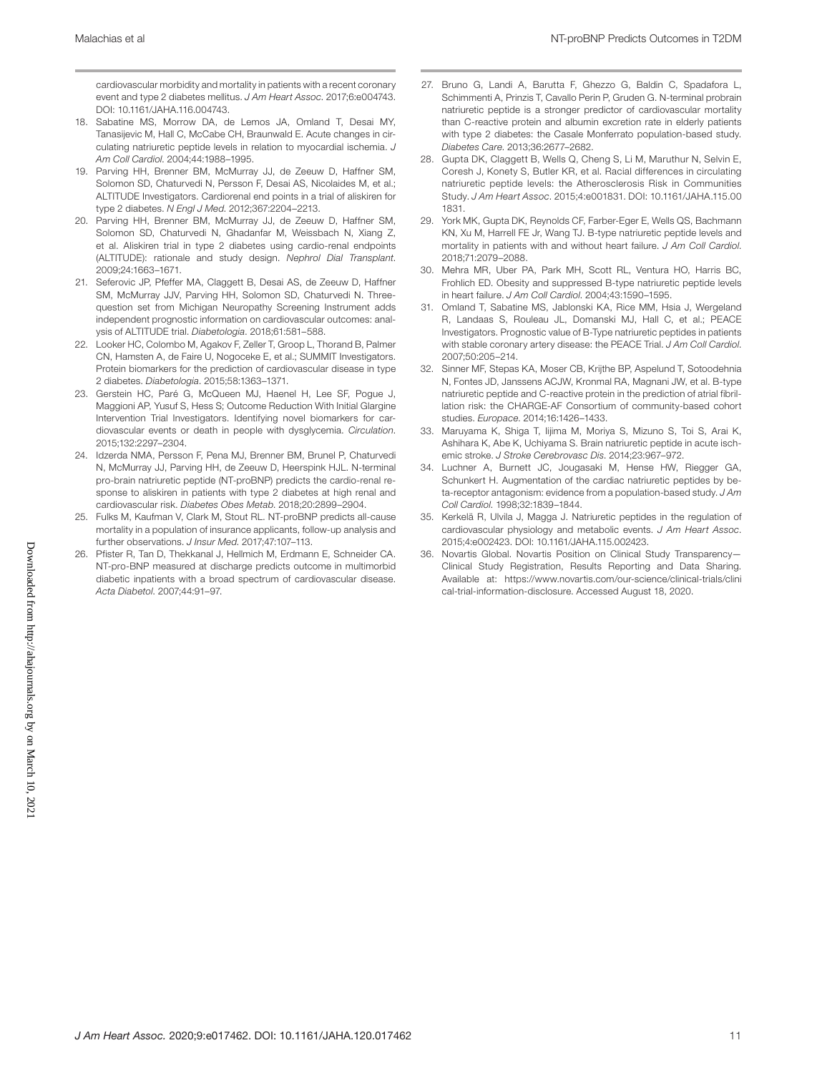cardiovascular morbidity and mortality in patients with a recent coronary event and type 2 diabetes mellitus. *J Am Heart Assoc*. 2017;6:e004743. DOI: [10.1161/JAHA.116.004743.](https://doi.org/10.1161/JAHA.116.004743)

- 18. Sabatine MS, Morrow DA, de Lemos JA, Omland T, Desai MY, Tanasijevic M, Hall C, McCabe CH, Braunwald E. Acute changes in circulating natriuretic peptide levels in relation to myocardial ischemia. *J Am Coll Cardiol*. 2004;44:1988–1995.
- 19. Parving HH, Brenner BM, McMurray JJ, de Zeeuw D, Haffner SM, Solomon SD, Chaturvedi N, Persson F, Desai AS, Nicolaides M, et al.; ALTITUDE Investigators. Cardiorenal end points in a trial of aliskiren for type 2 diabetes. *N Engl J Med*. 2012;367:2204–2213.
- 20. Parving HH, Brenner BM, McMurray JJ, de Zeeuw D, Haffner SM, Solomon SD, Chaturvedi N, Ghadanfar M, Weissbach N, Xiang Z, et al. Aliskiren trial in type 2 diabetes using cardio-renal endpoints (ALTITUDE): rationale and study design. *Nephrol Dial Transplant*. 2009;24:1663–1671.
- 21. Seferovic JP, Pfeffer MA, Claggett B, Desai AS, de Zeeuw D, Haffner SM, McMurray JJV, Parving HH, Solomon SD, Chaturvedi N. Threequestion set from Michigan Neuropathy Screening Instrument adds independent prognostic information on cardiovascular outcomes: analysis of ALTITUDE trial. *Diabetologia*. 2018;61:581–588.
- 22. Looker HC, Colombo M, Agakov F, Zeller T, Groop L, Thorand B, Palmer CN, Hamsten A, de Faire U, Nogoceke E, et al.; SUMMIT Investigators. Protein biomarkers for the prediction of cardiovascular disease in type 2 diabetes. *Diabetologia*. 2015;58:1363–1371.
- 23. Gerstein HC, Paré G, McQueen MJ, Haenel H, Lee SF, Pogue J, Maggioni AP, Yusuf S, Hess S; Outcome Reduction With Initial Glargine Intervention Trial Investigators. Identifying novel biomarkers for cardiovascular events or death in people with dysglycemia. *Circulation*. 2015;132:2297–2304.
- 24. Idzerda NMA, Persson F, Pena MJ, Brenner BM, Brunel P, Chaturvedi N, McMurray JJ, Parving HH, de Zeeuw D, Heerspink HJL. N-terminal pro-brain natriuretic peptide (NT-proBNP) predicts the cardio-renal response to aliskiren in patients with type 2 diabetes at high renal and cardiovascular risk. *Diabetes Obes Metab*. 2018;20:2899–2904.
- 25. Fulks M, Kaufman V, Clark M, Stout RL. NT-proBNP predicts all-cause mortality in a population of insurance applicants, follow-up analysis and further observations. *J Insur Med*. 2017;47:107–113.
- 26. Pfister R, Tan D, Thekkanal J, Hellmich M, Erdmann E, Schneider CA. NT-pro-BNP measured at discharge predicts outcome in multimorbid diabetic inpatients with a broad spectrum of cardiovascular disease. *Acta Diabetol*. 2007;44:91–97.
- 27. Bruno G, Landi A, Barutta F, Ghezzo G, Baldin C, Spadafora L, Schimmenti A, Prinzis T, Cavallo Perin P, Gruden G. N-terminal probrain natriuretic peptide is a stronger predictor of cardiovascular mortality than C-reactive protein and albumin excretion rate in elderly patients with type 2 diabetes: the Casale Monferrato population-based study. *Diabetes Care*. 2013;36:2677–2682.
- 28. Gupta DK, Claggett B, Wells Q, Cheng S, Li M, Maruthur N, Selvin E, Coresh J, Konety S, Butler KR, et al. Racial differences in circulating natriuretic peptide levels: the Atherosclerosis Risk in Communities Study. *J Am Heart Assoc*. 2015;4:e001831. DOI: [10.1161/JAHA.115.00](https://doi.org/10.1161/JAHA.115.001831) [1831](https://doi.org/10.1161/JAHA.115.001831).
- 29. York MK, Gupta DK, Reynolds CF, Farber-Eger E, Wells QS, Bachmann KN, Xu M, Harrell FE Jr, Wang TJ. B-type natriuretic peptide levels and mortality in patients with and without heart failure. *J Am Coll Cardiol*. 2018;71:2079–2088.
- 30. Mehra MR, Uber PA, Park MH, Scott RL, Ventura HO, Harris BC, Frohlich ED. Obesity and suppressed B-type natriuretic peptide levels in heart failure. *J Am Coll Cardiol*. 2004;43:1590–1595.
- 31. Omland T, Sabatine MS, Jablonski KA, Rice MM, Hsia J, Wergeland R, Landaas S, Rouleau JL, Domanski MJ, Hall C, et al.; PEACE Investigators. Prognostic value of B-Type natriuretic peptides in patients with stable coronary artery disease: the PEACE Trial. *J Am Coll Cardiol*. 2007;50:205–214.
- 32. Sinner MF, Stepas KA, Moser CB, Krijthe BP, Aspelund T, Sotoodehnia N, Fontes JD, Janssens ACJW, Kronmal RA, Magnani JW, et al. B-type natriuretic peptide and C-reactive protein in the prediction of atrial fibrillation risk: the CHARGE-AF Consortium of community-based cohort studies. *Europace*. 2014;16:1426–1433.
- 33. Maruyama K, Shiga T, Iijima M, Moriya S, Mizuno S, Toi S, Arai K, Ashihara K, Abe K, Uchiyama S. Brain natriuretic peptide in acute ischemic stroke. *J Stroke Cerebrovasc Dis*. 2014;23:967–972.
- 34. Luchner A, Burnett JC, Jougasaki M, Hense HW, Riegger GA, Schunkert H. Augmentation of the cardiac natriuretic peptides by beta-receptor antagonism: evidence from a population-based study. *J Am Coll Cardiol*. 1998;32:1839–1844.
- 35. Kerkelä R, Ulvila J, Magga J. Natriuretic peptides in the regulation of cardiovascular physiology and metabolic events. *J Am Heart Assoc*. 2015;4:e002423. DOI: [10.1161/JAHA.115.002423](https://doi.org/10.1161/JAHA.115.002423).
- 36. Novartis Global. Novartis Position on Clinical Study Transparency— Clinical Study Registration, Results Reporting and Data Sharing. Available at: [https://www.novartis.com/our-science/clinical-trials/clini](https://www.novartis.com/our-science/clinical-trials/clinical-trial-information-disclosure) [cal-trial-information-disclosure](https://www.novartis.com/our-science/clinical-trials/clinical-trial-information-disclosure). Accessed August 18, 2020.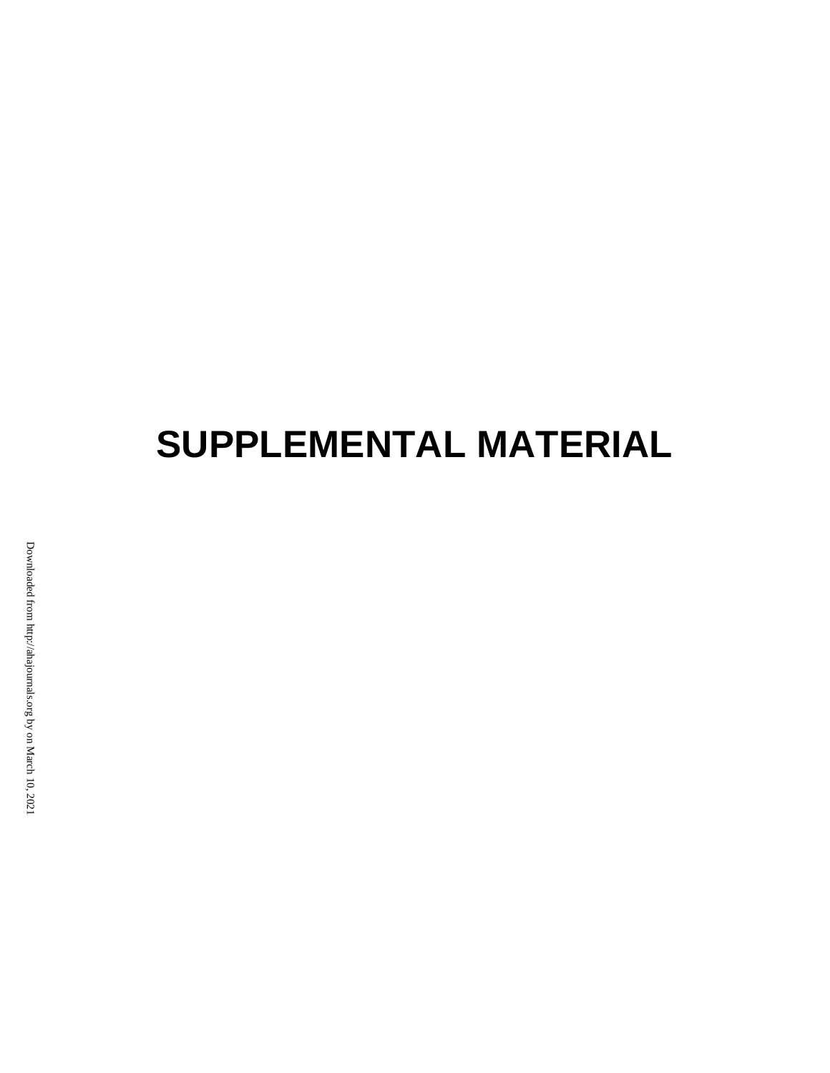# **SUPPLEMENTAL MATERIAL**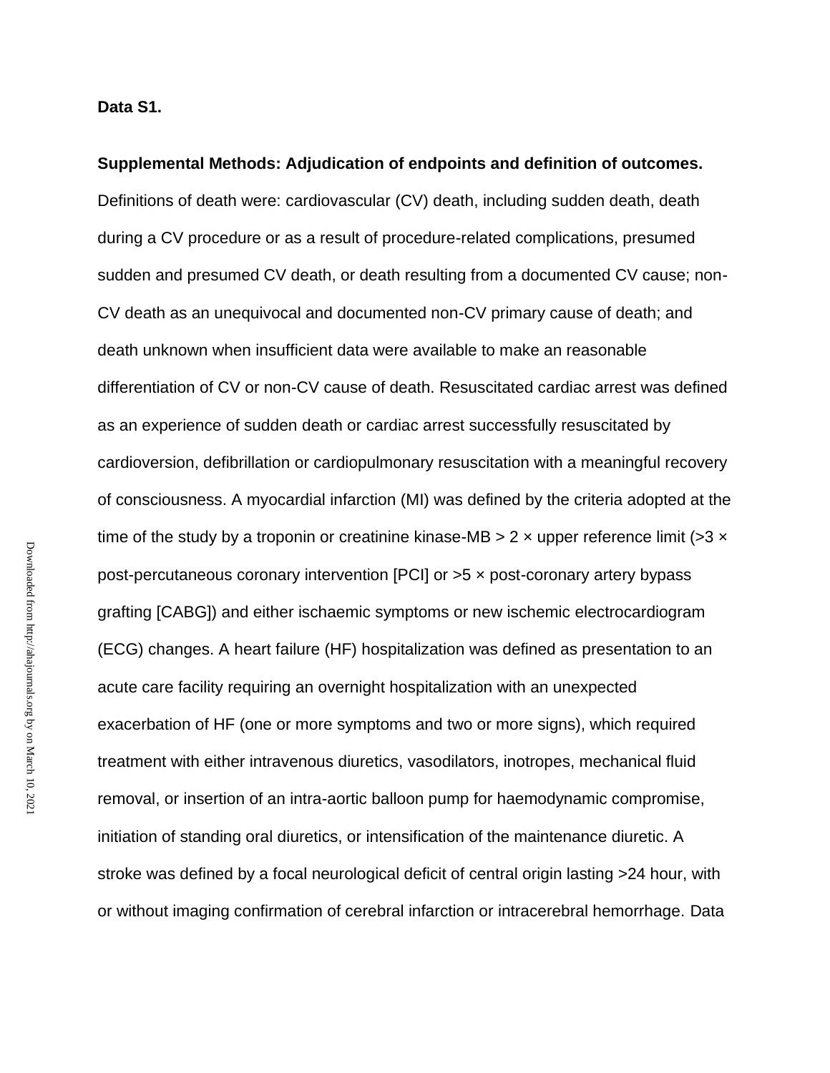**Supplemental Methods: Adjudication of endpoints and definition of outcomes.** Definitions of death were: cardiovascular (CV) death, including sudden death, death during a CV procedure or as a result of procedure-related complications, presumed sudden and presumed CV death, or death resulting from a documented CV cause; non-CV death as an unequivocal and documented non-CV primary cause of death; and death unknown when insufficient data were available to make an reasonable differentiation of CV or non-CV cause of death. Resuscitated cardiac arrest was defined as an experience of sudden death or cardiac arrest successfully resuscitated by cardioversion, defibrillation or cardiopulmonary resuscitation with a meaningful recovery of consciousness. A myocardial infarction (MI) was defined by the criteria adopted at the time of the study by a troponin or creatinine kinase-MB  $> 2 \times$  upper reference limit ( $> 3 \times$ post-percutaneous coronary intervention [PCI] or >5 × post-coronary artery bypass grafting [CABG]) and either ischaemic symptoms or new ischemic electrocardiogram (ECG) changes. A heart failure (HF) hospitalization was defined as presentation to an acute care facility requiring an overnight hospitalization with an unexpected exacerbation of HF (one or more symptoms and two or more signs), which required treatment with either intravenous diuretics, vasodilators, inotropes, mechanical fluid removal, or insertion of an intra-aortic balloon pump for haemodynamic compromise, initiation of standing oral diuretics, or intensification of the maintenance diuretic. A stroke was defined by a focal neurological deficit of central origin lasting >24 hour, with or without imaging confirmation of cerebral infarction or intracerebral hemorrhage. Data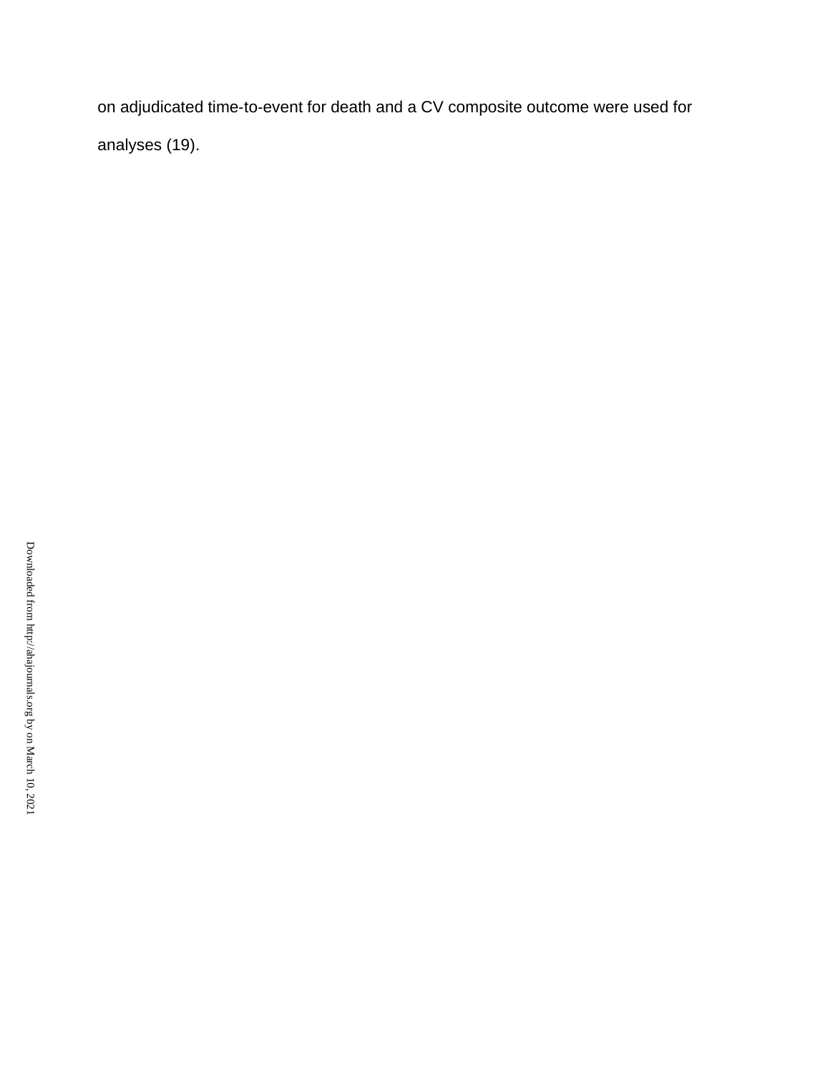on adjudicated time‐to‐event for death and a CV composite outcome were used for analyses (19).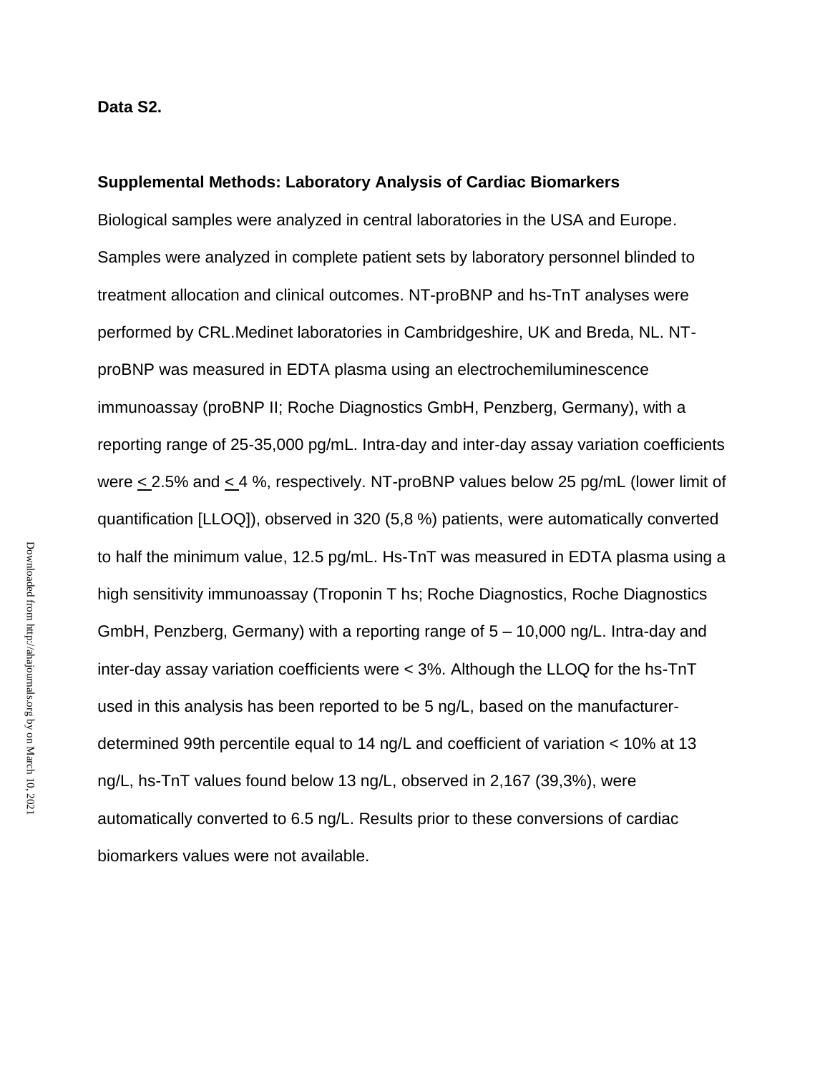**Data S2.**

#### **Supplemental Methods: Laboratory Analysis of Cardiac Biomarkers**

Biological samples were analyzed in central laboratories in the USA and Europe. Samples were analyzed in complete patient sets by laboratory personnel blinded to treatment allocation and clinical outcomes. NT-proBNP and hs-TnT analyses were performed by CRL.Medinet laboratories in Cambridgeshire, UK and Breda, NL. NTproBNP was measured in EDTA plasma using an electrochemiluminescence immunoassay (proBNP II; Roche Diagnostics GmbH, Penzberg, Germany), with a reporting range of 25-35,000 pg/mL. Intra-day and inter-day assay variation coefficients were < 2.5% and < 4 %, respectively. NT-proBNP values below 25 pg/mL (lower limit of quantification [LLOQ]), observed in 320 (5,8 %) patients, were automatically converted to half the minimum value, 12.5 pg/mL. Hs-TnT was measured in EDTA plasma using a high sensitivity immunoassay (Troponin T hs; Roche Diagnostics, Roche Diagnostics GmbH, Penzberg, Germany) with a reporting range of 5 – 10,000 ng/L. Intra-day and inter-day assay variation coefficients were < 3%. Although the LLOQ for the hs-TnT used in this analysis has been reported to be 5 ng/L, based on the manufacturerdetermined 99th percentile equal to 14 ng/L and coefficient of variation < 10% at 13 ng/L, hs-TnT values found below 13 ng/L, observed in 2,167 (39,3%), were automatically converted to 6.5 ng/L. Results prior to these conversions of cardiac biomarkers values were not available.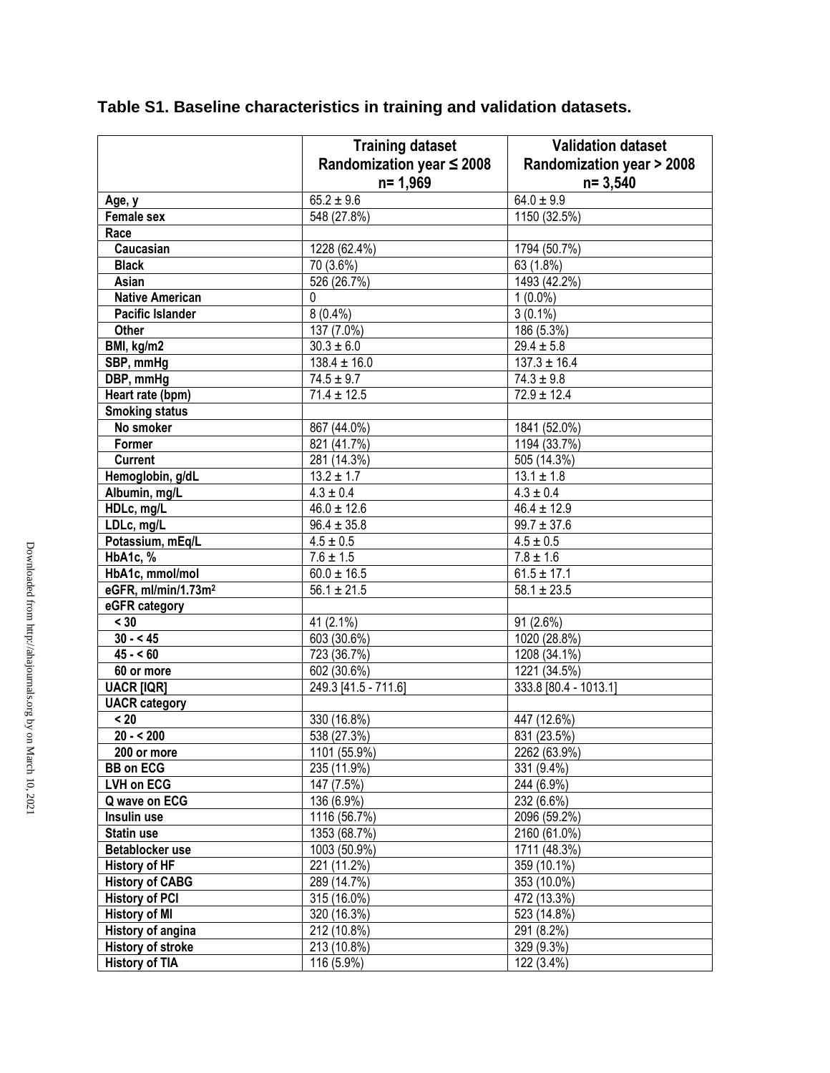|                                 | <b>Training dataset</b><br>Randomization year $\leq$ 2008<br>$n = 1,969$ | <b>Validation dataset</b><br><b>Randomization year &gt; 2008</b><br>$n = 3,540$ |
|---------------------------------|--------------------------------------------------------------------------|---------------------------------------------------------------------------------|
| Age, y                          | $65.2 \pm 9.6$                                                           | $64.0 \pm 9.9$                                                                  |
| <b>Female sex</b>               | 548 (27.8%)                                                              | 1150 (32.5%)                                                                    |
| Race                            |                                                                          |                                                                                 |
| Caucasian                       | 1228 (62.4%)                                                             | 1794 (50.7%)                                                                    |
| <b>Black</b>                    | 70 (3.6%)                                                                | 63 (1.8%)                                                                       |
| Asian                           | 526 (26.7%)                                                              | 1493 (42.2%)                                                                    |
| <b>Native American</b>          | $\mathbf 0$                                                              | $1(0.0\%)$                                                                      |
| <b>Pacific Islander</b>         | $8(0.4\%)$                                                               | $3(0.1\%)$                                                                      |
| Other                           | 137 (7.0%)                                                               | 186 (5.3%)                                                                      |
| BMI, kg/m2                      | $30.3 \pm 6.0$                                                           | $29.4 \pm 5.8$                                                                  |
| SBP, mmHg                       | $138.4 \pm 16.0$                                                         | $137.3 \pm 16.4$                                                                |
| DBP, mmHg                       | $74.5 \pm 9.7$                                                           | $74.3 \pm 9.8$                                                                  |
| Heart rate (bpm)                | $71.4 \pm 12.5$                                                          | $72.9 \pm 12.4$                                                                 |
| <b>Smoking status</b>           |                                                                          |                                                                                 |
| No smoker                       | 867 (44.0%)                                                              | 1841 (52.0%)                                                                    |
| Former                          | 821 (41.7%)                                                              | 1194 (33.7%)                                                                    |
| <b>Current</b>                  | 281 (14.3%)                                                              | 505 (14.3%)                                                                     |
| Hemoglobin, g/dL                | $13.2 \pm 1.7$                                                           | $13.1 \pm 1.8$                                                                  |
| Albumin, mg/L                   | $4.3 \pm 0.4$                                                            | $4.3 \pm 0.4$                                                                   |
| HDLc, mg/L                      | $46.0 \pm 12.6$                                                          | $46.4 \pm 12.9$                                                                 |
| LDLc, mg/L                      | $96.4 \pm 35.8$                                                          | $99.7 \pm 37.6$                                                                 |
| Potassium, mEq/L                | $4.5 \pm 0.5$                                                            | $4.5 \pm 0.5$                                                                   |
| HbA1c, %                        | $7.6 \pm 1.5$                                                            | $7.8 \pm 1.6$                                                                   |
| HbA1c, mmol/mol                 | $60.0 \pm 16.5$                                                          | $61.5 \pm 17.1$                                                                 |
| eGFR, ml/min/1.73m <sup>2</sup> | $\overline{56.1 \pm 21.5}$                                               | $58.1 \pm 23.5$                                                                 |
| eGFR category                   |                                                                          |                                                                                 |
| < 30                            | 41 (2.1%)                                                                | 91 (2.6%)                                                                       |
| $30 - 45$                       | 603 (30.6%)                                                              | 1020 (28.8%)                                                                    |
| $45 - 60$                       | 723 (36.7%)                                                              | 1208 (34.1%)                                                                    |
| 60 or more                      | 602 (30.6%)                                                              | 1221 (34.5%)                                                                    |
| <b>UACR [IQR]</b>               | 249.3 [41.5 - 711.6]                                                     | 333.8 [80.4 - 1013.1]                                                           |
| <b>UACR</b> category            |                                                                          |                                                                                 |
| < 20                            | 330 (16.8%)                                                              | 447 (12.6%)                                                                     |
| $20 - 5200$                     | 538(27.3%)                                                               | 831 (23.5%)                                                                     |
| 200 or more                     | 1101 (55.9%)                                                             | 2262 (63.9%)                                                                    |
| <b>BB</b> on ECG                | 235 (11.9%)                                                              | 331 (9.4%)                                                                      |
| LVH on ECG                      | 147 (7.5%)                                                               | 244 (6.9%)                                                                      |
| Q wave on ECG                   | 136 (6.9%)                                                               | 232 (6.6%)                                                                      |
| Insulin use                     | 1116 (56.7%)                                                             | 2096 (59.2%)                                                                    |
| Statin use                      | 1353 (68.7%)                                                             | 2160 (61.0%)                                                                    |
| Betablocker use                 | $\overline{1003(50.9\%)}$                                                | 1711(48.3%)                                                                     |
| <b>History of HF</b>            | 221 (11.2%)                                                              | 359 (10.1%)                                                                     |
| <b>History of CABG</b>          | 289 (14.7%)                                                              | 353 (10.0%)                                                                     |
| <b>History of PCI</b>           | 315 (16.0%)                                                              | 472 (13.3%)                                                                     |
| <b>History of MI</b>            | 320 (16.3%)                                                              | 523 (14.8%)                                                                     |
| History of angina               | 212 (10.8%)                                                              | 291 (8.2%)                                                                      |
| <b>History of stroke</b>        | 213 (10.8%)                                                              | 329 (9.3%)                                                                      |
| <b>History of TIA</b>           | $\overline{116}$ (5.9%)                                                  | 122 (3.4%)                                                                      |

# **Table S1. Baseline characteristics in training and validation datasets.**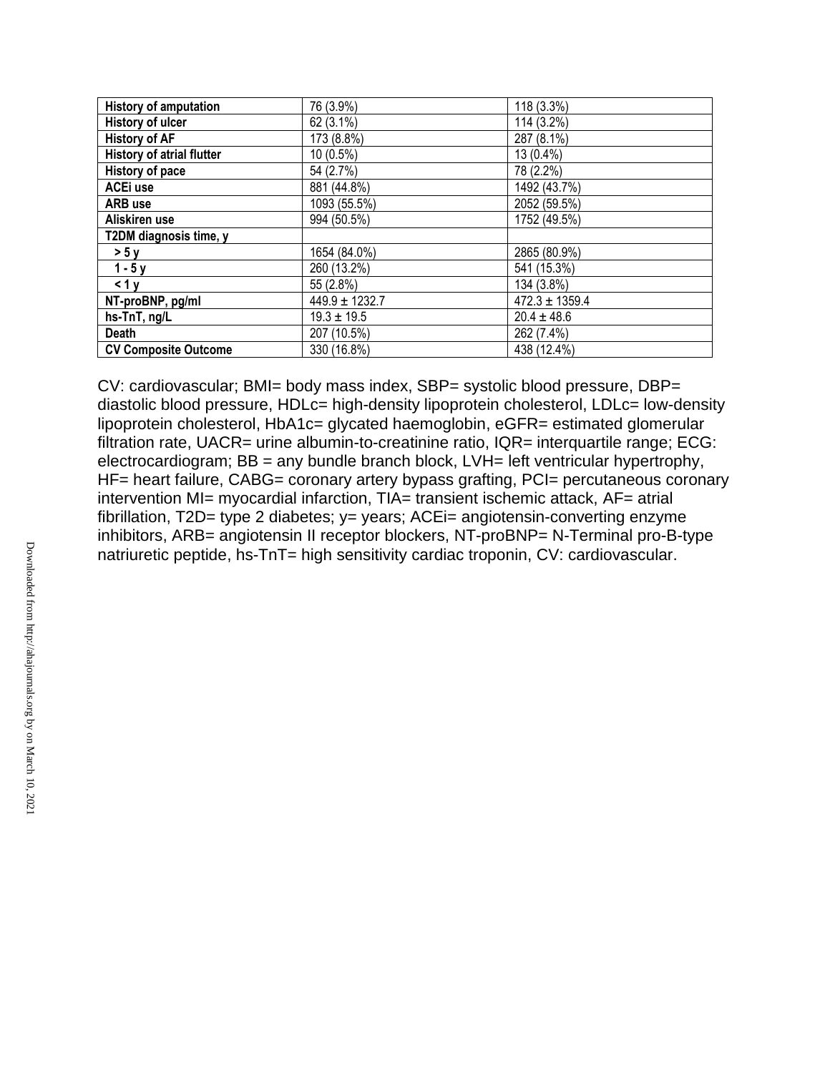| <b>History of amputation</b> | 76 (3.9%)          | 118 (3.3%)         |
|------------------------------|--------------------|--------------------|
| History of ulcer             | 62 (3.1%)          | 114 (3.2%)         |
| <b>History of AF</b>         | 173 (8.8%)         | 287 (8.1%)         |
| History of atrial flutter    | 10 (0.5%)          | 13 (0.4%)          |
| History of pace              | 54 (2.7%)          | 78 (2.2%)          |
| ACE <sub>i</sub> use         | 881 (44.8%)        | 1492 (43.7%)       |
| <b>ARB</b> use               | 1093 (55.5%)       | 2052 (59.5%)       |
| Aliskiren use                | 994 (50.5%)        | 1752 (49.5%)       |
| T2DM diagnosis time, y       |                    |                    |
| > 5y                         | 1654 (84.0%)       | 2865 (80.9%)       |
| $1 - 5y$                     | 260 (13.2%)        | 541 (15.3%)        |
| < 1y                         | 55 (2.8%)          | 134 (3.8%)         |
| NT-proBNP, pg/ml             | $449.9 \pm 1232.7$ | $472.3 \pm 1359.4$ |
| hs-TnT, ng/L                 | $19.3 \pm 19.5$    | $20.4 \pm 48.6$    |
| <b>Death</b>                 | 207 (10.5%)        | 262 (7.4%)         |
| <b>CV Composite Outcome</b>  | 330 (16.8%)        | 438 (12.4%)        |

CV: cardiovascular; BMI= body mass index, SBP= systolic blood pressure, DBP= diastolic blood pressure, HDLc= high-density lipoprotein cholesterol, LDLc= low-density lipoprotein cholesterol, HbA1c= glycated haemoglobin, eGFR= estimated glomerular filtration rate, UACR= urine albumin-to-creatinine ratio, IQR= interquartile range; ECG: electrocardiogram; BB = any bundle branch block, LVH= left ventricular hypertrophy, HF= heart failure, CABG= coronary artery bypass grafting, PCI= percutaneous coronary intervention MI= myocardial infarction, TIA= transient ischemic attack, AF= atrial fibrillation, T2D= type 2 diabetes; y= years; ACEi= angiotensin-converting enzyme inhibitors, ARB= angiotensin II receptor blockers, NT-proBNP= N-Terminal pro-B-type natriuretic peptide, hs-TnT= high sensitivity cardiac troponin, CV: cardiovascular.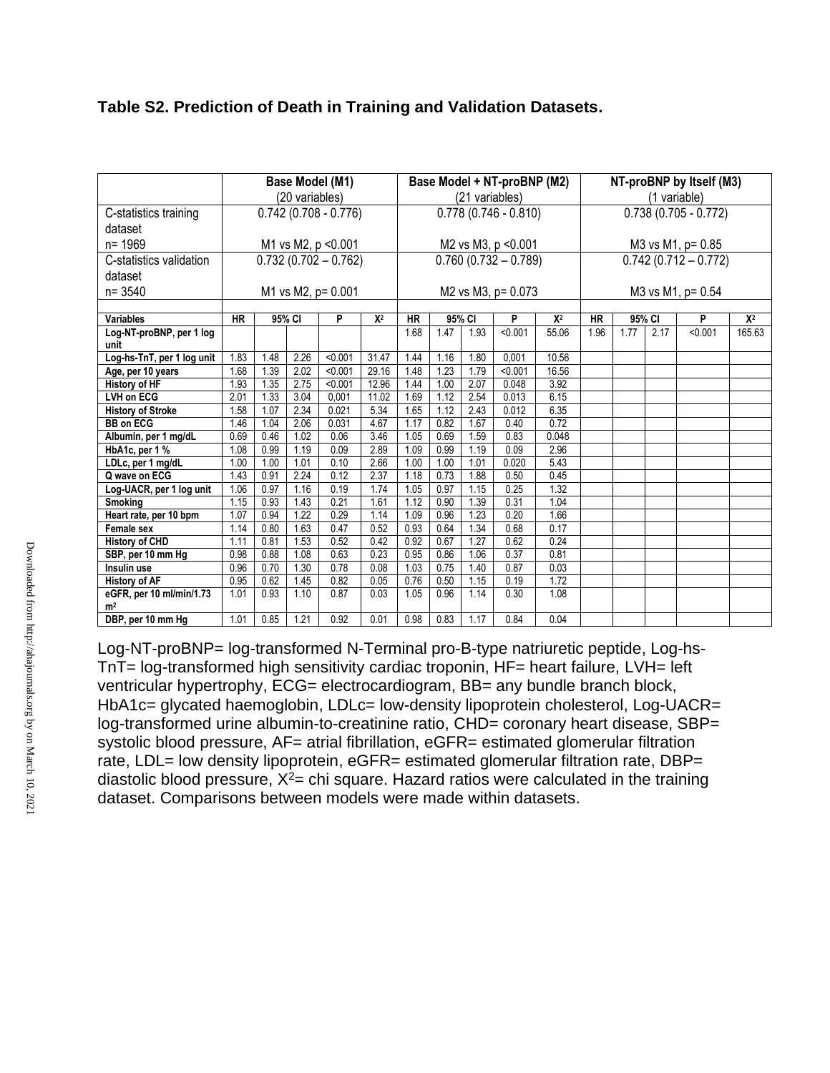| Table S2. Prediction of Death in Training and Validation Datasets. |  |  |
|--------------------------------------------------------------------|--|--|
|--------------------------------------------------------------------|--|--|

|                            | Base Model (M1)        |                   |        |                        |       |           |                        |        | Base Model + NT-proBNP (M2) |       |                   |                        |              | NT-proBNP by Itself (M3) |        |
|----------------------------|------------------------|-------------------|--------|------------------------|-------|-----------|------------------------|--------|-----------------------------|-------|-------------------|------------------------|--------------|--------------------------|--------|
|                            | (20 variables)         |                   |        |                        |       |           | (21 variables)         |        |                             |       |                   |                        | (1 variable) |                          |        |
| C-statistics training      | $0.742(0.708 - 0.776)$ |                   |        |                        |       |           | $0.778(0.746 - 0.810)$ |        |                             |       |                   | $0.738(0.705 - 0.772)$ |              |                          |        |
| dataset                    |                        |                   |        |                        |       |           |                        |        |                             |       |                   |                        |              |                          |        |
| n= 1969                    |                        |                   |        | M1 vs M2, p < 0.001    |       |           |                        |        | M2 vs M3, p < 0.001         |       | M3 vs M1, p= 0.85 |                        |              |                          |        |
| C-statistics validation    |                        |                   |        | $0.732(0.702 - 0.762)$ |       |           |                        |        | $0.760(0.732 - 0.789)$      |       |                   |                        |              | $0.742(0.712 - 0.772)$   |        |
| dataset                    |                        |                   |        |                        |       |           |                        |        |                             |       |                   |                        |              |                          |        |
| $n = 3540$                 |                        |                   |        | M1 vs M2, p= 0.001     |       |           |                        |        | M2 vs M3, p= 0.073          |       |                   |                        |              | M3 vs M1, p= 0.54        |        |
|                            |                        |                   |        |                        |       |           |                        |        |                             |       |                   |                        |              |                          |        |
| <b>Variables</b>           | <b>HR</b>              |                   | 95% CI | P                      | $X^2$ | <b>HR</b> |                        | 95% CI | P                           | $X^2$ | <b>HR</b>         |                        | 95% CI       | P                        | $X^2$  |
| Log-NT-proBNP, per 1 log   |                        |                   |        |                        |       | 1.68      | 1.47                   | 1.93   | < 0.001                     | 55.06 | 1.96              | 1.77                   | 2.17         | < 0.001                  | 165.63 |
| unit                       |                        |                   |        |                        |       |           |                        |        |                             |       |                   |                        |              |                          |        |
| Log-hs-TnT, per 1 log unit | 1.83                   | 1.48              | 2.26   | < 0.001                | 31.47 | 1.44      | 1.16                   | 1.80   | 0,001                       | 10.56 |                   |                        |              |                          |        |
| Age, per 10 years          | 1.68                   | 1.39              | 2.02   | < 0.001                | 29.16 | 1.48      | 1.23                   | 1.79   | < 0.001                     | 16.56 |                   |                        |              |                          |        |
| <b>History of HF</b>       | 1.93                   | 1.35              | 2.75   | < 0.001                | 12.96 | 1.44      | 1.00                   | 2.07   | 0.048                       | 3.92  |                   |                        |              |                          |        |
| <b>LVH on ECG</b>          | 2.01                   | 1.33              | 3.04   | 0,001                  | 11.02 | 1.69      | 1.12                   | 2.54   | 0.013                       | 6.15  |                   |                        |              |                          |        |
| <b>History of Stroke</b>   | 1.58                   | 1.07              | 2.34   | 0.021                  | 5.34  | 1.65      | 1.12                   | 2.43   | 0.012                       | 6.35  |                   |                        |              |                          |        |
| <b>BB on ECG</b>           | 1.46                   | 1.04              | 2.06   | 0.031                  | 4.67  | 1.17      | 0.82                   | 1.67   | 0.40                        | 0.72  |                   |                        |              |                          |        |
| Albumin, per 1 mg/dL       | 0.69                   | 0.46              | 1.02   | 0.06                   | 3.46  | 1.05      | 0.69                   | 1.59   | 0.83                        | 0.048 |                   |                        |              |                          |        |
| HbA1c, per 1 %             | 1.08                   | 0.99              | 1.19   | 0.09                   | 2.89  | 1.09      | 0.99                   | 1.19   | 0.09                        | 2.96  |                   |                        |              |                          |        |
| LDLc, per 1 mg/dL          | 1.00                   | 1.00              | 1.01   | 0.10                   | 2.66  | 1.00      | 1.00                   | 1.01   | 0.020                       | 5.43  |                   |                        |              |                          |        |
| Q wave on ECG              | 1.43                   | 0.91              | 2.24   | 0.12                   | 2.37  | 1.18      | 0.73                   | 1.88   | 0.50                        | 0.45  |                   |                        |              |                          |        |
| Log-UACR, per 1 log unit   | 1.06                   | 0.97              | 1.16   | 0.19                   | 1.74  | 1.05      | 0.97                   | 1.15   | 0.25                        | 1.32  |                   |                        |              |                          |        |
| <b>Smoking</b>             | 1.15                   | 0.93              | 1.43   | 0.21                   | 1.61  | 1.12      | 0.90                   | 1.39   | 0.31                        | 1.04  |                   |                        |              |                          |        |
| Heart rate, per 10 bpm     | 1.07                   | 0.94              | 1.22   | 0.29                   | 1.14  | 1.09      | 0.96                   | 1.23   | 0.20                        | 1.66  |                   |                        |              |                          |        |
| <b>Female sex</b>          | 1.14                   | 0.80              | 1.63   | 0.47                   | 0.52  | 0.93      | 0.64                   | 1.34   | 0.68                        | 0.17  |                   |                        |              |                          |        |
| <b>History of CHD</b>      | 1.11                   | 0.81              | 1.53   | 0.52                   | 0.42  | 0.92      | 0.67                   | 1.27   | 0.62                        | 0.24  |                   |                        |              |                          |        |
| SBP, per 10 mm Hg          | 0.98                   | 0.88              | 1.08   | 0.63                   | 0.23  | 0.95      | 0.86                   | 1.06   | 0.37                        | 0.81  |                   |                        |              |                          |        |
| Insulin use                | 0.96                   | 0.70              | 1.30   | 0.78                   | 0.08  | 1.03      | 0.75                   | 1.40   | 0.87                        | 0.03  |                   |                        |              |                          |        |
| <b>History of AF</b>       | 0.95                   | $0.\overline{62}$ | 1.45   | 0.82                   | 0.05  | 0.76      | 0.50                   | 1.15   | 0.19                        | 1.72  |                   |                        |              |                          |        |
| eGFR, per 10 ml/min/1.73   | 1.01                   | 0.93              | 1.10   | 0.87                   | 0.03  | 1.05      | 0.96                   | 1.14   | 0.30                        | 1.08  |                   |                        |              |                          |        |
| m <sup>2</sup>             |                        |                   |        |                        |       |           |                        |        |                             |       |                   |                        |              |                          |        |
| DBP, per 10 mm Hg          | 1.01                   | 0.85              | 1.21   | 0.92                   | 0.01  | 0.98      | 0.83                   | 1.17   | 0.84                        | 0.04  |                   |                        |              |                          |        |

Log-NT-proBNP= log-transformed N-Terminal pro-B-type natriuretic peptide, Log-hs-TnT= log-transformed high sensitivity cardiac troponin, HF= heart failure, LVH= left ventricular hypertrophy, ECG= electrocardiogram, BB= any bundle branch block, HbA1c= glycated haemoglobin, LDLc= low-density lipoprotein cholesterol, Log-UACR= log-transformed urine albumin-to-creatinine ratio, CHD= coronary heart disease, SBP= systolic blood pressure, AF= atrial fibrillation, eGFR= estimated glomerular filtration rate, LDL= low density lipoprotein, eGFR= estimated glomerular filtration rate, DBP= diastolic blood pressure,  $X^2$ = chi square. Hazard ratios were calculated in the training dataset. Comparisons between models were made within datasets.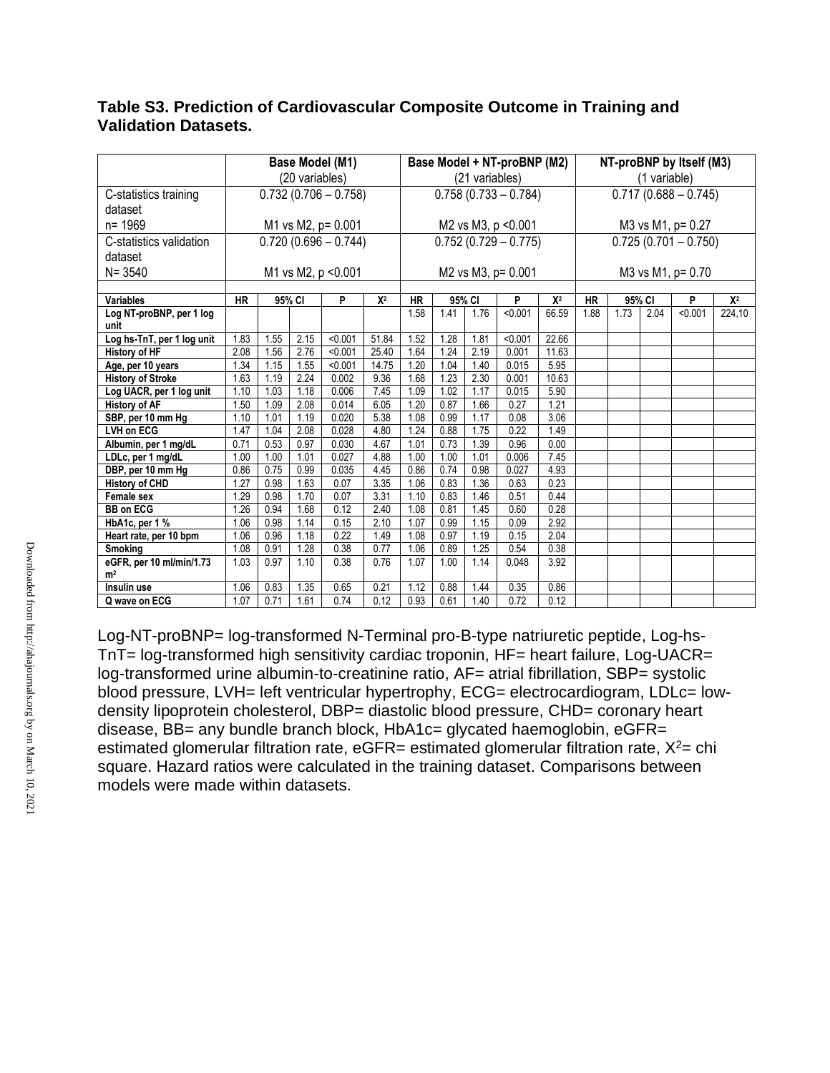## **Table S3. Prediction of Cardiovascular Composite Outcome in Training and Validation Datasets.**

|                                            |           | Base Model (M1) |                |                        |       |                     |                        |                | Base Model + NT-proBNP (M2) |       |                   |                        |              | NT-proBNP by Itself (M3)           |        |
|--------------------------------------------|-----------|-----------------|----------------|------------------------|-------|---------------------|------------------------|----------------|-----------------------------|-------|-------------------|------------------------|--------------|------------------------------------|--------|
|                                            |           |                 | (20 variables) |                        |       |                     |                        | (21 variables) |                             |       |                   |                        | (1 variable) |                                    |        |
| C-statistics training                      |           |                 |                | $0.732(0.706 - 0.758)$ |       |                     | $0.758(0.733 - 0.784)$ |                |                             |       |                   | $0.717(0.688 - 0.745)$ |              |                                    |        |
| dataset                                    |           |                 |                |                        |       |                     |                        |                |                             |       |                   |                        |              |                                    |        |
| n= 1969                                    |           |                 |                | M1 vs M2, p= 0.001     |       | M2 vs M3, p < 0.001 |                        |                |                             |       | M3 vs M1, p= 0.27 |                        |              |                                    |        |
| C-statistics validation                    |           |                 |                | $0.720(0.696 - 0.744)$ |       |                     |                        |                | $0.752(0.729 - 0.775)$      |       |                   |                        |              | $\overline{0.725}$ (0.701 - 0.750) |        |
| dataset                                    |           |                 |                |                        |       |                     |                        |                |                             |       |                   |                        |              |                                    |        |
| $N = 3540$                                 |           |                 |                | M1 vs M2, p < 0.001    |       |                     |                        |                | M2 vs M3, p= 0.001          |       |                   |                        |              | M3 vs M1, p= 0.70                  |        |
|                                            |           |                 |                |                        |       |                     |                        |                |                             |       |                   |                        |              |                                    |        |
| <b>Variables</b>                           | <b>HR</b> |                 | 95% CI         | P                      | $X^2$ | <b>HR</b>           | 95% CI                 |                | P                           | $X^2$ | <b>HR</b>         | 95% CI                 |              | P                                  | $X^2$  |
| Log NT-proBNP, per 1 log<br>unit           |           |                 |                |                        |       | 1.58                | 1.41                   | 1.76           | < 0.001                     | 66.59 | 1.88              | 1.73                   | 2.04         | < 0.001                            | 224,10 |
| Log hs-TnT, per 1 log unit                 | 1.83      | 1.55            | 2.15           | < 0.001                | 51.84 | 1.52                | 1.28                   | 1.81           | < 0.001                     | 22.66 |                   |                        |              |                                    |        |
| <b>History of HF</b>                       | 2.08      | 1.56            | 2.76           | < 0.001                | 25.40 | 1.64                | 1.24                   | 2.19           | 0.001                       | 11.63 |                   |                        |              |                                    |        |
| Age, per 10 years                          | 1.34      | 1.15            | 1.55           | < 0.001                | 14.75 | 1.20                | 1.04                   | 1.40           | 0.015                       | 5.95  |                   |                        |              |                                    |        |
| <b>History of Stroke</b>                   | 1.63      | 1.19            | 2.24           | 0.002                  | 9.36  | 1.68                | 1.23                   | 2.30           | 0.001                       | 10.63 |                   |                        |              |                                    |        |
| Log UACR, per 1 log unit                   | 1.10      | 1.03            | 1.18           | 0.006                  | 7.45  | 1.09                | 1.02                   | 1.17           | 0.015                       | 5.90  |                   |                        |              |                                    |        |
| <b>History of AF</b>                       | 1.50      | 1.09            | 2.08           | 0.014                  | 6.05  | 1.20                | 0.87                   | 1.66           | 0.27                        | 1.21  |                   |                        |              |                                    |        |
| SBP, per 10 mm Hg                          | 1.10      | 1.01            | 1.19           | 0.020                  | 5.38  | 1.08                | 0.99                   | 1.17           | 0.08                        | 3.06  |                   |                        |              |                                    |        |
| LVH on ECG                                 | 1.47      | 1.04            | 2.08           | 0.028                  | 4.80  | 1.24                | 0.88                   | 1.75           | 0.22                        | 1.49  |                   |                        |              |                                    |        |
| Albumin, per 1 mg/dL                       | 0.71      | 0.53            | 0.97           | 0.030                  | 4.67  | 1.01                | 0.73                   | 1.39           | 0.96                        | 0.00  |                   |                        |              |                                    |        |
| LDLc, per 1 mg/dL                          | 1.00      | 1.00            | 1.01           | 0.027                  | 4.88  | 1.00                | 1.00                   | 1.01           | 0.006                       | 7.45  |                   |                        |              |                                    |        |
| DBP, per 10 mm Hg                          | 0.86      | 0.75            | 0.99           | 0.035                  | 4.45  | 0.86                | 0.74                   | 0.98           | 0.027                       | 4.93  |                   |                        |              |                                    |        |
| <b>History of CHD</b>                      | 1.27      | 0.98            | 1.63           | 0.07                   | 3.35  | 1.06                | 0.83                   | 1.36           | 0.63                        | 0.23  |                   |                        |              |                                    |        |
| Female sex                                 | 1.29      | 0.98            | 1.70           | 0.07                   | 3.31  | 1.10                | 0.83                   | 1.46           | 0.51                        | 0.44  |                   |                        |              |                                    |        |
| <b>BB on ECG</b>                           | 1.26      | 0.94            | 1.68           | 0.12                   | 2.40  | 1.08                | 0.81                   | 1.45           | 0.60                        | 0.28  |                   |                        |              |                                    |        |
| HbA1c, per 1 %                             | 1.06      | 0.98            | 1.14           | 0.15                   | 2.10  | 1.07                | 0.99                   | 1.15           | 0.09                        | 2.92  |                   |                        |              |                                    |        |
| Heart rate, per 10 bpm                     | 1.06      | 0.96            | 1.18           | 0.22                   | 1.49  | 1.08                | 0.97                   | 1.19           | 0.15                        | 2.04  |                   |                        |              |                                    |        |
| <b>Smoking</b>                             | 1.08      | 0.91            | 1.28           | 0.38                   | 0.77  | 1.06                | 0.89                   | 1.25           | 0.54                        | 0.38  |                   |                        |              |                                    |        |
| eGFR, per 10 ml/min/1.73<br>m <sup>2</sup> | 1.03      | 0.97            | 1.10           | 0.38                   | 0.76  | 1.07                | 1.00                   | 1.14           | 0.048                       | 3.92  |                   |                        |              |                                    |        |
| Insulin use                                | 1.06      | 0.83            | 1.35           | 0.65                   | 0.21  | 1.12                | 0.88                   | 1.44           | 0.35                        | 0.86  |                   |                        |              |                                    |        |
| Q wave on ECG                              | 1.07      | 0.71            | 1.61           | 0.74                   | 0.12  | 0.93                | 0.61                   | 1.40           | 0.72                        | 0.12  |                   |                        |              |                                    |        |

Log-NT-proBNP= log-transformed N-Terminal pro-B-type natriuretic peptide, Log-hs-TnT= log-transformed high sensitivity cardiac troponin, HF= heart failure, Log-UACR= log-transformed urine albumin-to-creatinine ratio, AF= atrial fibrillation, SBP= systolic blood pressure, LVH= left ventricular hypertrophy, ECG= electrocardiogram, LDLc= lowdensity lipoprotein cholesterol, DBP= diastolic blood pressure, CHD= coronary heart disease, BB= any bundle branch block, HbA1c= glycated haemoglobin, eGFR= estimated glomerular filtration rate,  $eGFR$  = estimated glomerular filtration rate,  $X^2$  = chi square. Hazard ratios were calculated in the training dataset. Comparisons between models were made within datasets.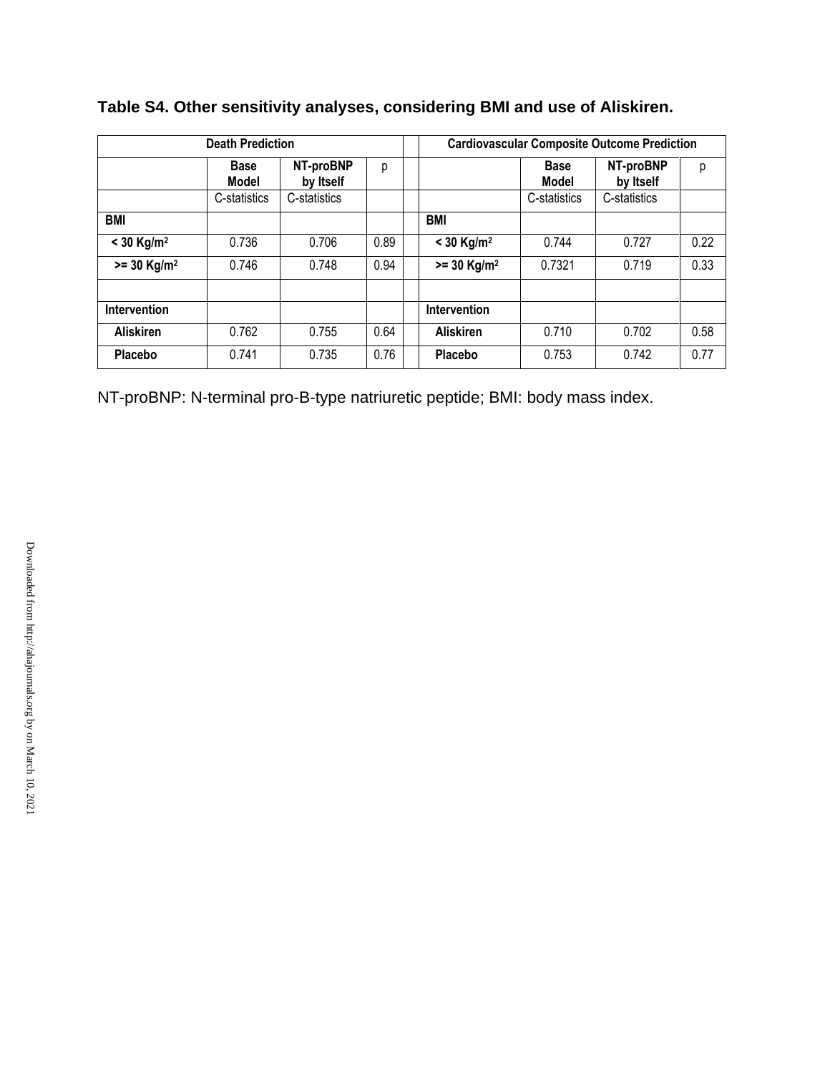|                           | <b>Death Prediction</b>     |                        |      |  | <b>Cardiovascular Composite Outcome Prediction</b> |                             |                        |      |
|---------------------------|-----------------------------|------------------------|------|--|----------------------------------------------------|-----------------------------|------------------------|------|
|                           | <b>Base</b><br><b>Model</b> | NT-proBNP<br>by Itself | р    |  |                                                    | <b>Base</b><br><b>Model</b> | NT-proBNP<br>by Itself | р    |
|                           | C-statistics                | C-statistics           |      |  |                                                    | C-statistics                | C-statistics           |      |
| <b>BMI</b>                |                             |                        |      |  | <b>BMI</b>                                         |                             |                        |      |
| $<$ 30 Kg/m <sup>2</sup>  | 0.736                       | 0.706                  | 0.89 |  | $<$ 30 Kg/m <sup>2</sup>                           | 0.744                       | 0.727                  | 0.22 |
| $>= 30$ Kg/m <sup>2</sup> | 0.746                       | 0.748                  | 0.94 |  | $>= 30$ Kg/m <sup>2</sup>                          | 0.7321                      | 0.719                  | 0.33 |
|                           |                             |                        |      |  |                                                    |                             |                        |      |
| Intervention              |                             |                        |      |  | Intervention                                       |                             |                        |      |
| <b>Aliskiren</b>          | 0.762                       | 0.755                  | 0.64 |  | <b>Aliskiren</b>                                   | 0.710                       | 0.702                  | 0.58 |
| <b>Placebo</b>            | 0.741                       | 0.735                  | 0.76 |  | Placebo                                            | 0.753                       | 0.742                  | 0.77 |

**Table S4. Other sensitivity analyses, considering BMI and use of Aliskiren.**

NT-proBNP: N-terminal pro-B-type natriuretic peptide; BMI: body mass index.